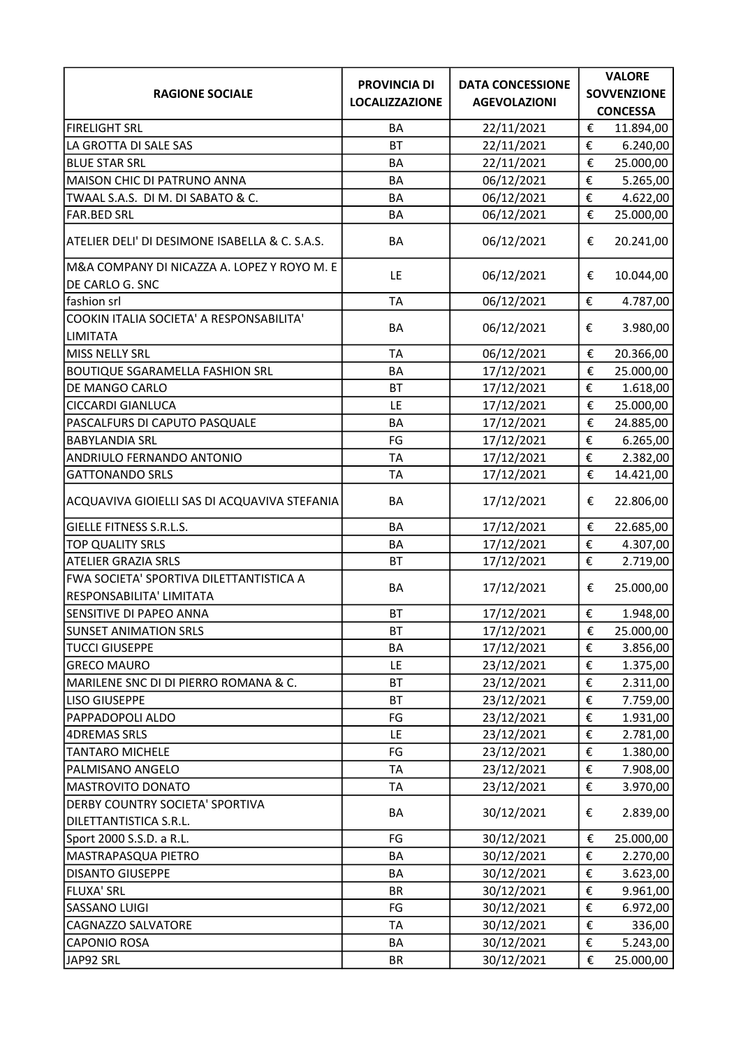|                                                | <b>PROVINCIA DI</b>   | <b>DATA CONCESSIONE</b> | <b>VALORE</b>                        |
|------------------------------------------------|-----------------------|-------------------------|--------------------------------------|
| <b>RAGIONE SOCIALE</b>                         | <b>LOCALIZZAZIONE</b> | <b>AGEVOLAZIONI</b>     | <b>SOVVENZIONE</b>                   |
|                                                |                       |                         | <b>CONCESSA</b>                      |
| <b>FIRELIGHT SRL</b>                           | BA                    | 22/11/2021              | €<br>11.894,00                       |
| LA GROTTA DI SALE SAS                          | <b>BT</b>             | 22/11/2021              | €<br>6.240,00                        |
| <b>BLUE STAR SRL</b>                           | BA                    | 22/11/2021              | €<br>25.000,00                       |
| MAISON CHIC DI PATRUNO ANNA                    | BA                    | 06/12/2021              | €<br>5.265,00                        |
| TWAAL S.A.S. DI M. DI SABATO & C.              | BA                    | 06/12/2021              | €<br>4.622,00                        |
| <b>FAR.BED SRL</b>                             | BA                    | 06/12/2021              | €<br>25.000,00                       |
| ATELIER DELI' DI DESIMONE ISABELLA & C. S.A.S. | BA                    | 06/12/2021              | €<br>20.241,00                       |
| M&A COMPANY DI NICAZZA A. LOPEZ Y ROYO M. E    | LE                    | 06/12/2021              | 10.044,00<br>€                       |
| DE CARLO G. SNC                                |                       |                         |                                      |
| fashion srl                                    | <b>TA</b>             | 06/12/2021              | €<br>4.787,00                        |
| COOKIN ITALIA SOCIETA' A RESPONSABILITA'       | BA                    | 06/12/2021              | €<br>3.980,00                        |
| <b>LIMITATA</b>                                |                       |                         |                                      |
| MISS NELLY SRL                                 | <b>TA</b>             | 06/12/2021              | €<br>20.366,00                       |
| <b>BOUTIQUE SGARAMELLA FASHION SRL</b>         | BA                    | 17/12/2021              | €<br>25.000,00                       |
| DE MANGO CARLO                                 | <b>BT</b>             | 17/12/2021              | €<br>1.618,00                        |
| <b>CICCARDI GIANLUCA</b>                       | LE                    | 17/12/2021              | €<br>25.000,00                       |
| PASCALFURS DI CAPUTO PASQUALE                  | BA                    | 17/12/2021              | €<br>24.885,00                       |
| <b>BABYLANDIA SRL</b>                          | FG                    | 17/12/2021              | €<br>6.265,00                        |
| ANDRIULO FERNANDO ANTONIO                      | <b>TA</b>             | 17/12/2021              | €<br>2.382,00                        |
| <b>GATTONANDO SRLS</b>                         | <b>TA</b>             | 17/12/2021              | €<br>14.421,00                       |
| ACQUAVIVA GIOIELLI SAS DI ACQUAVIVA STEFANIA   | BA                    | 17/12/2021              | €<br>22.806,00                       |
| <b>GIELLE FITNESS S.R.L.S.</b>                 | BA                    | 17/12/2021              | €<br>22.685,00                       |
| TOP QUALITY SRLS                               | <b>BA</b>             | 17/12/2021              | €<br>4.307,00                        |
| <b>ATELIER GRAZIA SRLS</b>                     | <b>BT</b>             | 17/12/2021              | €<br>2.719,00                        |
| FWA SOCIETA' SPORTIVA DILETTANTISTICA A        |                       |                         |                                      |
| RESPONSABILITA' LIMITATA                       | BA                    | 17/12/2021              | €<br>25.000,00                       |
| SENSITIVE DI PAPEO ANNA                        | <b>BT</b>             | 17/12/2021              | €<br>1.948,00                        |
| <b>SUNSET ANIMATION SRLS</b>                   | <b>BT</b>             | 17/12/2021              | 25.000,00<br>€                       |
| <b>TUCCI GIUSEPPE</b>                          | BA                    | 17/12/2021              | €<br>3.856,00                        |
| <b>GRECO MAURO</b>                             | LE                    | 23/12/2021              | €<br>1.375,00                        |
| MARILENE SNC DI DI PIERRO ROMANA & C.          | <b>BT</b>             | 23/12/2021              | €<br>2.311,00                        |
| <b>LISO GIUSEPPE</b>                           | <b>BT</b>             | 23/12/2021              | €<br>7.759,00                        |
| PAPPADOPOLI ALDO                               | FG                    | 23/12/2021              | €<br>1.931,00                        |
| <b>4DREMAS SRLS</b>                            | LE                    | 23/12/2021              | €<br>2.781,00                        |
| <b>TANTARO MICHELE</b>                         | FG                    | 23/12/2021              | €<br>1.380,00                        |
| PALMISANO ANGELO                               | TA                    | 23/12/2021              | $\boldsymbol{\epsilon}$<br>7.908,00  |
| MASTROVITO DONATO                              | <b>TA</b>             | 23/12/2021              | €<br>3.970,00                        |
| DERBY COUNTRY SOCIETA' SPORTIVA                |                       |                         |                                      |
| DILETTANTISTICA S.R.L.                         | BA                    | 30/12/2021              | 2.839,00<br>€                        |
| Sport 2000 S.S.D. a R.L.                       | FG                    | 30/12/2021              | €<br>25.000,00                       |
| MASTRAPASQUA PIETRO                            | BA                    | 30/12/2021              | €<br>2.270,00                        |
| <b>DISANTO GIUSEPPE</b>                        | BA                    | 30/12/2021              | $\boldsymbol{\epsilon}$<br>3.623,00  |
| <b>FLUXA' SRL</b>                              | <b>BR</b>             | 30/12/2021              | €<br>9.961,00                        |
| <b>SASSANO LUIGI</b>                           | FG                    | 30/12/2021              | €<br>6.972,00                        |
| CAGNAZZO SALVATORE                             | TA                    | 30/12/2021              | €<br>336,00                          |
| <b>CAPONIO ROSA</b>                            | BA                    | 30/12/2021              | €<br>5.243,00                        |
| JAP92 SRL                                      | BR                    | 30/12/2021              | $\boldsymbol{\epsilon}$<br>25.000,00 |
|                                                |                       |                         |                                      |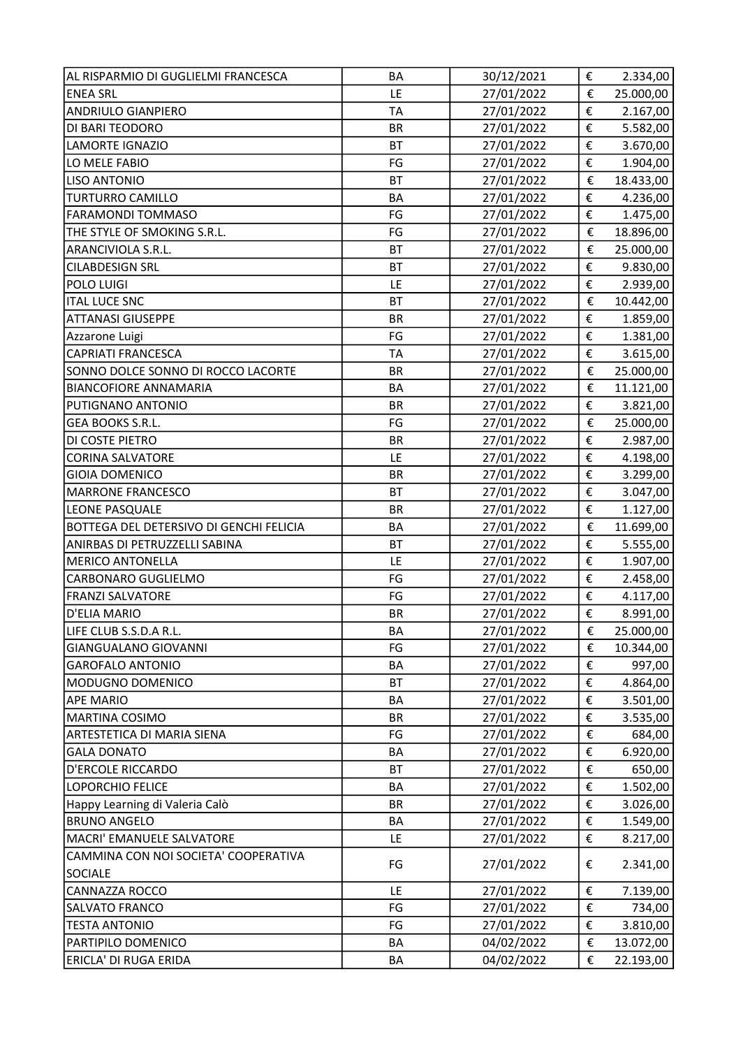| AL RISPARMIO DI GUGLIELMI FRANCESCA     | <b>BA</b> | 30/12/2021 | €                       | 2.334,00  |
|-----------------------------------------|-----------|------------|-------------------------|-----------|
| <b>ENEA SRL</b>                         | LE        | 27/01/2022 | €                       | 25.000,00 |
| <b>ANDRIULO GIANPIERO</b>               | <b>TA</b> | 27/01/2022 | €                       | 2.167,00  |
| DI BARI TEODORO                         | <b>BR</b> | 27/01/2022 | €                       | 5.582,00  |
| LAMORTE IGNAZIO                         | <b>BT</b> | 27/01/2022 | €                       | 3.670,00  |
| LO MELE FABIO                           | FG        | 27/01/2022 | €                       | 1.904,00  |
| <b>LISO ANTONIO</b>                     | <b>BT</b> | 27/01/2022 | €                       | 18.433,00 |
| <b>TURTURRO CAMILLO</b>                 | <b>BA</b> | 27/01/2022 | €                       | 4.236,00  |
| <b>FARAMONDI TOMMASO</b>                | FG        | 27/01/2022 | €                       | 1.475,00  |
| THE STYLE OF SMOKING S.R.L.             | FG        | 27/01/2022 | €                       | 18.896,00 |
| ARANCIVIOLA S.R.L.                      | <b>BT</b> | 27/01/2022 | €                       | 25.000,00 |
| <b>CILABDESIGN SRL</b>                  | <b>BT</b> | 27/01/2022 | €                       | 9.830,00  |
| POLO LUIGI                              | LE        | 27/01/2022 | €                       | 2.939,00  |
| <b>ITAL LUCE SNC</b>                    | <b>BT</b> | 27/01/2022 | €                       | 10.442,00 |
| <b>ATTANASI GIUSEPPE</b>                | <b>BR</b> | 27/01/2022 | €                       | 1.859,00  |
| Azzarone Luigi                          | FG        | 27/01/2022 | €                       | 1.381,00  |
| <b>CAPRIATI FRANCESCA</b>               | <b>TA</b> | 27/01/2022 | €                       | 3.615,00  |
| SONNO DOLCE SONNO DI ROCCO LACORTE      | <b>BR</b> | 27/01/2022 | €                       | 25.000,00 |
| <b>BIANCOFIORE ANNAMARIA</b>            | BA        | 27/01/2022 | €                       | 11.121,00 |
| PUTIGNANO ANTONIO                       | <b>BR</b> | 27/01/2022 | €                       | 3.821,00  |
| GEA BOOKS S.R.L.                        | FG        | 27/01/2022 | €                       | 25.000,00 |
| DI COSTE PIETRO                         | <b>BR</b> | 27/01/2022 | €                       | 2.987,00  |
| <b>CORINA SALVATORE</b>                 | LE        | 27/01/2022 | €                       | 4.198,00  |
| <b>GIOIA DOMENICO</b>                   | <b>BR</b> | 27/01/2022 | €                       | 3.299,00  |
| <b>MARRONE FRANCESCO</b>                | <b>BT</b> | 27/01/2022 | €                       | 3.047,00  |
| LEONE PASQUALE                          | <b>BR</b> | 27/01/2022 | €                       | 1.127,00  |
| BOTTEGA DEL DETERSIVO DI GENCHI FELICIA | BA        | 27/01/2022 | €                       | 11.699,00 |
| ANIRBAS DI PETRUZZELLI SABINA           | <b>BT</b> | 27/01/2022 | €                       | 5.555,00  |
| <b>MERICO ANTONELLA</b>                 | LE        | 27/01/2022 | €                       | 1.907,00  |
| CARBONARO GUGLIELMO                     | FG        | 27/01/2022 | €                       | 2.458,00  |
| <b>FRANZI SALVATORE</b>                 | FG        | 27/01/2022 | €                       | 4.117,00  |
| D'ELIA MARIO                            | <b>BR</b> | 27/01/2022 | €                       | 8.991,00  |
| LIFE CLUB S.S.D.A R.L.                  | BA        | 27/01/2022 | €                       | 25.000,00 |
| <b>GIANGUALANO GIOVANNI</b>             | FG        | 27/01/2022 | €                       | 10.344,00 |
| <b>GAROFALO ANTONIO</b>                 | BA        | 27/01/2022 | €                       | 997,00    |
| MODUGNO DOMENICO                        | <b>BT</b> | 27/01/2022 | €                       | 4.864,00  |
| <b>APE MARIO</b>                        | BA        | 27/01/2022 | €                       | 3.501,00  |
| <b>MARTINA COSIMO</b>                   | <b>BR</b> | 27/01/2022 | €                       | 3.535,00  |
| ARTESTETICA DI MARIA SIENA              | FG        | 27/01/2022 | €                       | 684,00    |
| <b>GALA DONATO</b>                      | BA        | 27/01/2022 | €                       | 6.920,00  |
| <b>D'ERCOLE RICCARDO</b>                | <b>BT</b> | 27/01/2022 | €                       | 650,00    |
| <b>LOPORCHIO FELICE</b>                 | BA        | 27/01/2022 | €                       | 1.502,00  |
| Happy Learning di Valeria Calò          | <b>BR</b> | 27/01/2022 | €                       | 3.026,00  |
| <b>BRUNO ANGELO</b>                     | BA        | 27/01/2022 | $\boldsymbol{\epsilon}$ | 1.549,00  |
| MACRI' EMANUELE SALVATORE               | LE        | 27/01/2022 | €                       | 8.217,00  |
| CAMMINA CON NOI SOCIETA' COOPERATIVA    |           |            |                         |           |
| <b>SOCIALE</b>                          | FG        | 27/01/2022 | €                       | 2.341,00  |
| <b>CANNAZZA ROCCO</b>                   | LE        | 27/01/2022 | €                       | 7.139,00  |
| SALVATO FRANCO                          | FG        | 27/01/2022 | €                       | 734,00    |
| <b>TESTA ANTONIO</b>                    | FG        | 27/01/2022 | €                       | 3.810,00  |
| PARTIPILO DOMENICO                      | BA        | 04/02/2022 | €                       | 13.072,00 |
| ERICLA' DI RUGA ERIDA                   | BA        | 04/02/2022 | €                       | 22.193,00 |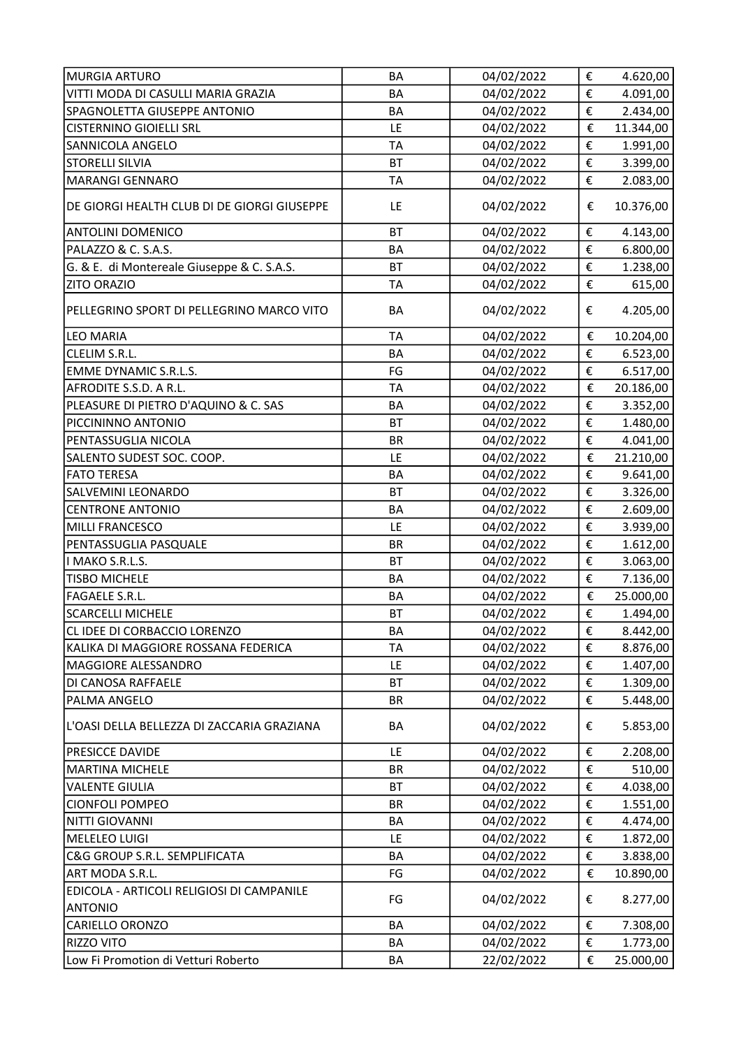| <b>MURGIA ARTURO</b>                        | BA        | 04/02/2022 | €                       | 4.620,00  |
|---------------------------------------------|-----------|------------|-------------------------|-----------|
| VITTI MODA DI CASULLI MARIA GRAZIA          | <b>BA</b> | 04/02/2022 | €                       | 4.091,00  |
| SPAGNOLETTA GIUSEPPE ANTONIO                | BA        | 04/02/2022 | €                       | 2.434,00  |
| <b>CISTERNINO GIOIELLI SRL</b>              | LE        | 04/02/2022 | €                       | 11.344,00 |
| SANNICOLA ANGELO                            | <b>TA</b> | 04/02/2022 | €                       | 1.991,00  |
| <b>STORELLI SILVIA</b>                      | BT        | 04/02/2022 | €                       | 3.399,00  |
| <b>MARANGI GENNARO</b>                      | <b>TA</b> | 04/02/2022 | €                       | 2.083,00  |
| DE GIORGI HEALTH CLUB DI DE GIORGI GIUSEPPE | LE        | 04/02/2022 | €                       | 10.376,00 |
| <b>ANTOLINI DOMENICO</b>                    | <b>BT</b> | 04/02/2022 | €                       | 4.143,00  |
| PALAZZO & C. S.A.S.                         | <b>BA</b> | 04/02/2022 | €                       | 6.800,00  |
| G. & E. di Montereale Giuseppe & C. S.A.S.  | <b>BT</b> | 04/02/2022 | €                       | 1.238,00  |
| <b>ZITO ORAZIO</b>                          | <b>TA</b> | 04/02/2022 | €                       | 615,00    |
| PELLEGRINO SPORT DI PELLEGRINO MARCO VITO   | BA        | 04/02/2022 | €                       | 4.205,00  |
| LEO MARIA                                   | <b>TA</b> | 04/02/2022 | €                       | 10.204,00 |
| CLELIM S.R.L.                               | <b>BA</b> | 04/02/2022 | €                       | 6.523,00  |
| <b>EMME DYNAMIC S.R.L.S.</b>                | FG        | 04/02/2022 | €                       | 6.517,00  |
| AFRODITE S.S.D. A R.L.                      | TA        | 04/02/2022 | €                       | 20.186,00 |
| PLEASURE DI PIETRO D'AQUINO & C. SAS        | <b>BA</b> | 04/02/2022 | €                       | 3.352,00  |
| PICCININNO ANTONIO                          | <b>BT</b> | 04/02/2022 | €                       | 1.480,00  |
| PENTASSUGLIA NICOLA                         | <b>BR</b> | 04/02/2022 | €                       | 4.041,00  |
| SALENTO SUDEST SOC. COOP.                   | LE        | 04/02/2022 | €                       | 21.210,00 |
| <b>FATO TERESA</b>                          | <b>BA</b> | 04/02/2022 | €                       | 9.641,00  |
| SALVEMINI LEONARDO                          | <b>BT</b> | 04/02/2022 | €                       | 3.326,00  |
| <b>CENTRONE ANTONIO</b>                     | <b>BA</b> | 04/02/2022 | €                       | 2.609,00  |
| MILLI FRANCESCO                             | LE        | 04/02/2022 | €                       | 3.939,00  |
| PENTASSUGLIA PASQUALE                       | <b>BR</b> | 04/02/2022 | €                       | 1.612,00  |
| I MAKO S.R.L.S.                             | <b>BT</b> | 04/02/2022 | €                       | 3.063,00  |
| <b>TISBO MICHELE</b>                        | <b>BA</b> | 04/02/2022 | €                       | 7.136,00  |
| FAGAELE S.R.L.                              | BA        | 04/02/2022 | $\pmb{\epsilon}$        | 25.000,00 |
| <b>SCARCELLI MICHELE</b>                    | <b>BT</b> | 04/02/2022 | €                       | 1.494,00  |
| CL IDEE DI CORBACCIO LORENZO                | BA        | 04/02/2022 | €                       | 8.442,00  |
| KALIKA DI MAGGIORE ROSSANA FEDERICA         | <b>TA</b> | 04/02/2022 | €                       | 8.876,00  |
| <b>MAGGIORE ALESSANDRO</b>                  | LE        | 04/02/2022 | €                       | 1.407,00  |
| DI CANOSA RAFFAELE                          | <b>BT</b> | 04/02/2022 | €                       | 1.309,00  |
| PALMA ANGELO                                | <b>BR</b> | 04/02/2022 | €                       | 5.448,00  |
| L'OASI DELLA BELLEZZA DI ZACCARIA GRAZIANA  | BA        | 04/02/2022 | €                       | 5.853,00  |
| <b>PRESICCE DAVIDE</b>                      | LE        | 04/02/2022 | €                       | 2.208,00  |
| <b>MARTINA MICHELE</b>                      | <b>BR</b> | 04/02/2022 | €                       | 510,00    |
| <b>VALENTE GIULIA</b>                       | <b>BT</b> | 04/02/2022 | €                       | 4.038,00  |
| <b>CIONFOLI POMPEO</b>                      | <b>BR</b> | 04/02/2022 | €                       | 1.551,00  |
| <b>NITTI GIOVANNI</b>                       | BA        | 04/02/2022 | €                       | 4.474,00  |
| MELELEO LUIGI                               | LE        | 04/02/2022 | €                       | 1.872,00  |
| C&G GROUP S.R.L. SEMPLIFICATA               | BA        | 04/02/2022 | €                       | 3.838,00  |
| ART MODA S.R.L.                             | FG        | 04/02/2022 | €                       | 10.890,00 |
| EDICOLA - ARTICOLI RELIGIOSI DI CAMPANILE   | FG        | 04/02/2022 | €                       | 8.277,00  |
| <b>ANTONIO</b>                              |           |            |                         |           |
| CARIELLO ORONZO                             | BA        | 04/02/2022 | €                       | 7.308,00  |
| <b>RIZZO VITO</b>                           | BA        | 04/02/2022 | €                       | 1.773,00  |
| Low Fi Promotion di Vetturi Roberto         | BA        | 22/02/2022 | $\boldsymbol{\epsilon}$ | 25.000,00 |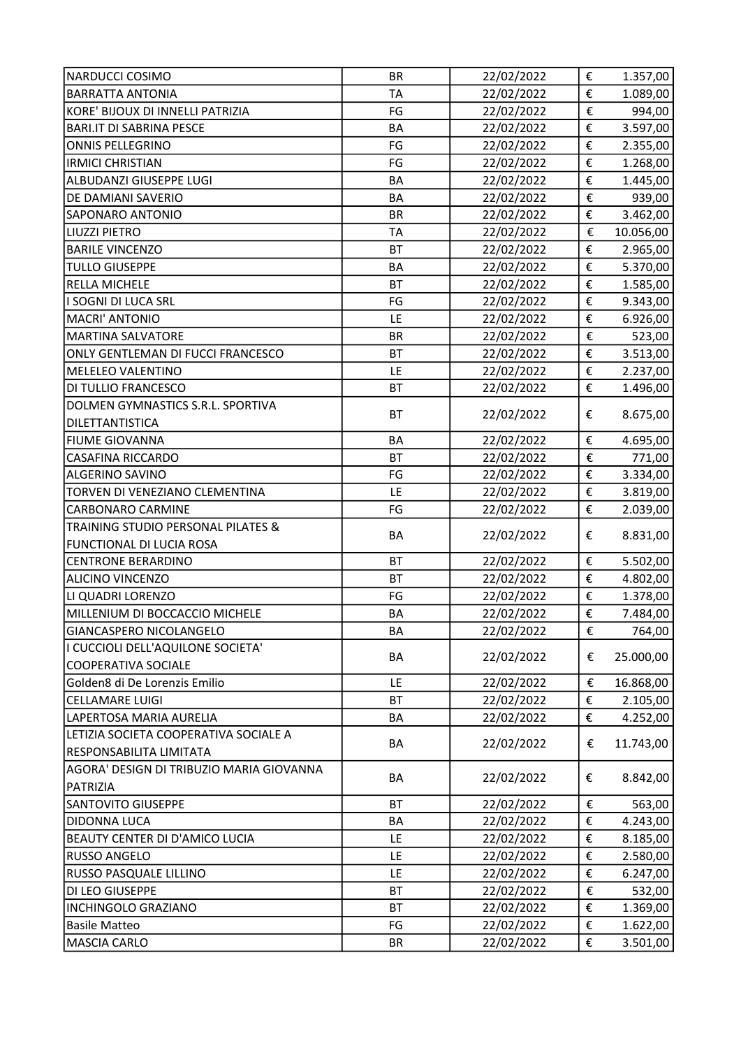| <b>NARDUCCI COSIMO</b>                   | <b>BR</b> | 22/02/2022 | €                       | 1.357,00             |
|------------------------------------------|-----------|------------|-------------------------|----------------------|
| <b>BARRATTA ANTONIA</b>                  | <b>TA</b> | 22/02/2022 | €                       | 1.089,00             |
| KORE' BIJOUX DI INNELLI PATRIZIA         | FG        | 22/02/2022 | €                       | 994,00               |
| <b>BARI.IT DI SABRINA PESCE</b>          | BA        | 22/02/2022 | €                       | 3.597,00             |
| <b>ONNIS PELLEGRINO</b>                  | FG        | 22/02/2022 | €                       | 2.355,00             |
| <b>IRMICI CHRISTIAN</b>                  | FG        | 22/02/2022 | €                       | 1.268,00             |
| ALBUDANZI GIUSEPPE LUGI                  | BA        | 22/02/2022 | €                       | 1.445,00             |
| DE DAMIANI SAVERIO                       | <b>BA</b> | 22/02/2022 | €                       | 939,00               |
| <b>SAPONARO ANTONIO</b>                  | <b>BR</b> | 22/02/2022 | €                       | 3.462,00             |
| LIUZZI PIETRO                            | <b>TA</b> | 22/02/2022 | €                       | 10.056,00            |
| <b>BARILE VINCENZO</b>                   | <b>BT</b> | 22/02/2022 | €                       | 2.965,00             |
| <b>TULLO GIUSEPPE</b>                    | BA        | 22/02/2022 | €                       | 5.370,00             |
| <b>RELLA MICHELE</b>                     | <b>BT</b> | 22/02/2022 | $\overline{\epsilon}$   | 1.585,00             |
| I SOGNI DI LUCA SRL                      | FG        | 22/02/2022 | €                       | 9.343,00             |
| <b>MACRI' ANTONIO</b>                    | LE        | 22/02/2022 | €                       | 6.926,00             |
| <b>MARTINA SALVATORE</b>                 | <b>BR</b> | 22/02/2022 | €                       | 523,00               |
| ONLY GENTLEMAN DI FUCCI FRANCESCO        | <b>BT</b> | 22/02/2022 | €                       | 3.513,00             |
| MELELEO VALENTINO                        | LE        | 22/02/2022 | €                       | 2.237,00             |
| DI TULLIO FRANCESCO                      | <b>BT</b> | 22/02/2022 | €                       | 1.496,00             |
| DOLMEN GYMNASTICS S.R.L. SPORTIVA        |           |            |                         |                      |
| DILETTANTISTICA                          | <b>BT</b> | 22/02/2022 | €                       | 8.675,00             |
| <b>FIUME GIOVANNA</b>                    | <b>BA</b> | 22/02/2022 | €                       | 4.695,00             |
| <b>CASAFINA RICCARDO</b>                 | <b>BT</b> | 22/02/2022 | €                       | 771,00               |
| ALGERINO SAVINO                          | FG        | 22/02/2022 | €                       | 3.334,00             |
| TORVEN DI VENEZIANO CLEMENTINA           | LE        | 22/02/2022 | €                       | 3.819,00             |
| <b>CARBONARO CARMINE</b>                 | FG        | 22/02/2022 | €                       | 2.039,00             |
| TRAINING STUDIO PERSONAL PILATES &       |           |            |                         |                      |
| FUNCTIONAL DI LUCIA ROSA                 | BA        | 22/02/2022 | €                       | 8.831,00             |
| <b>CENTRONE BERARDINO</b>                | <b>BT</b> | 22/02/2022 | €                       |                      |
| <b>ALICINO VINCENZO</b>                  | <b>BT</b> | 22/02/2022 | €                       | 5.502,00<br>4.802,00 |
| LI QUADRI LORENZO                        | FG        | 22/02/2022 | €                       | 1.378,00             |
| MILLENIUM DI BOCCACCIO MICHELE           | BA        | 22/02/2022 | €                       |                      |
| GIANCASPERO NICOLANGELO                  | BA        | 22/02/2022 | $\boldsymbol{\epsilon}$ | 7.484,00<br>764,00   |
| I CUCCIOLI DELL'AQUILONE SOCIETA'        |           |            |                         |                      |
|                                          | BA        | 22/02/2022 | €                       | 25.000,00            |
| COOPERATIVA SOCIALE                      |           |            |                         |                      |
| Golden8 di De Lorenzis Emilio            | LE        | 22/02/2022 | €                       | 16.868,00            |
| <b>CELLAMARE LUIGI</b>                   | <b>BT</b> | 22/02/2022 | €                       | 2.105,00             |
| LAPERTOSA MARIA AURELIA                  | BA        | 22/02/2022 | €                       | 4.252,00             |
| LETIZIA SOCIETA COOPERATIVA SOCIALE A    | BA        | 22/02/2022 | €                       | 11.743,00            |
| RESPONSABILITA LIMITATA                  |           |            |                         |                      |
| AGORA' DESIGN DI TRIBUZIO MARIA GIOVANNA | BA        | 22/02/2022 | €                       | 8.842,00             |
| PATRIZIA                                 |           |            |                         |                      |
| <b>SANTOVITO GIUSEPPE</b>                | BT        | 22/02/2022 | €                       | 563,00               |
| DIDONNA LUCA                             | BA        | 22/02/2022 | $\boldsymbol{\epsilon}$ | 4.243,00             |
| BEAUTY CENTER DI D'AMICO LUCIA           | LE        | 22/02/2022 | €                       | 8.185,00             |
| <b>RUSSO ANGELO</b>                      | LE        | 22/02/2022 | €                       | 2.580,00             |
| RUSSO PASQUALE LILLINO                   | LE        | 22/02/2022 | €                       | 6.247,00             |
| DI LEO GIUSEPPE                          | <b>BT</b> | 22/02/2022 | €                       | 532,00               |
| <b>INCHINGOLO GRAZIANO</b>               | BT        | 22/02/2022 | €                       | 1.369,00             |
| <b>Basile Matteo</b>                     | FG        | 22/02/2022 | €                       | 1.622,00             |
| <b>MASCIA CARLO</b>                      | BR        | 22/02/2022 | €                       | 3.501,00             |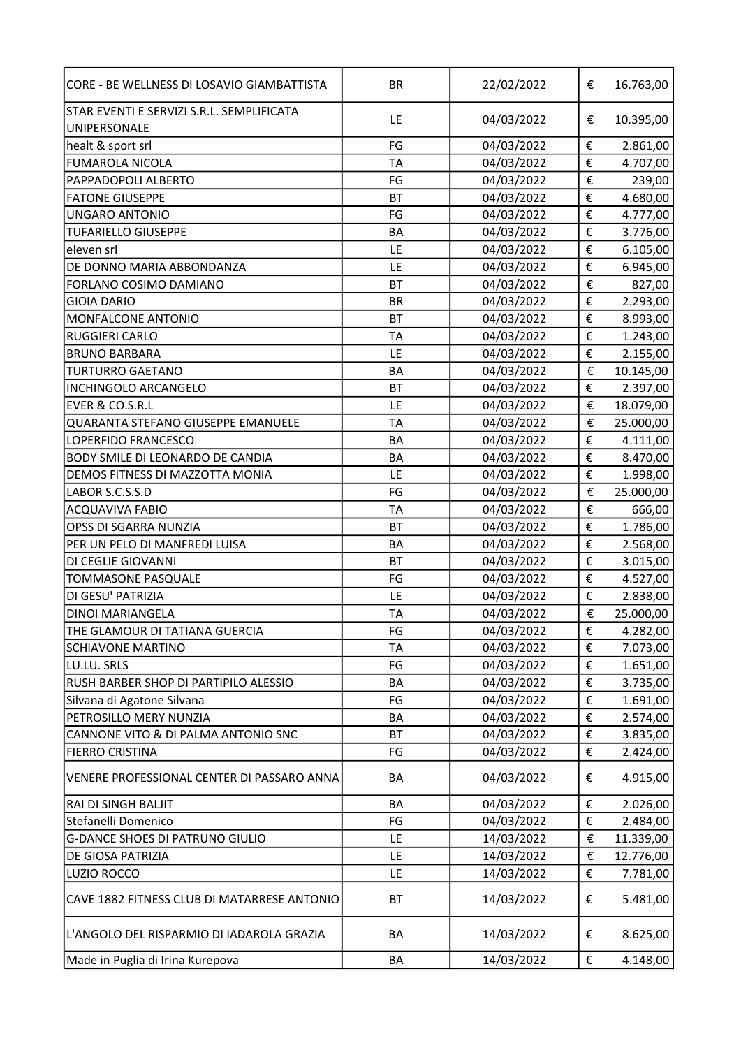| CORE - BE WELLNESS DI LOSAVIO GIAMBATTISTA  | <b>BR</b> | 22/02/2022 | €      | 16.763,00 |
|---------------------------------------------|-----------|------------|--------|-----------|
| STAR EVENTI E SERVIZI S.R.L. SEMPLIFICATA   | LE        | 04/03/2022 | €      | 10.395,00 |
| UNIPERSONALE                                |           |            |        |           |
| healt & sport srl                           | FG        | 04/03/2022 | €      | 2.861,00  |
| <b>FUMAROLA NICOLA</b>                      | <b>TA</b> | 04/03/2022 | €      | 4.707,00  |
| PAPPADOPOLI ALBERTO                         | FG        | 04/03/2022 | €      | 239,00    |
| <b>FATONE GIUSEPPE</b>                      | <b>BT</b> | 04/03/2022 | €      | 4.680,00  |
| <b>UNGARO ANTONIO</b>                       | FG        | 04/03/2022 | €      | 4.777,00  |
| <b>TUFARIELLO GIUSEPPE</b>                  | BA        | 04/03/2022 | €      | 3.776,00  |
| eleven srl                                  | LE        | 04/03/2022 | €      | 6.105,00  |
| DE DONNO MARIA ABBONDANZA                   | LE        | 04/03/2022 | €      | 6.945,00  |
| FORLANO COSIMO DAMIANO                      | <b>BT</b> | 04/03/2022 | €      | 827,00    |
| <b>GIOIA DARIO</b>                          | <b>BR</b> | 04/03/2022 | €      | 2.293,00  |
| MONFALCONE ANTONIO                          | <b>BT</b> | 04/03/2022 | €      | 8.993,00  |
| <b>RUGGIERI CARLO</b>                       | TA        | 04/03/2022 | €      | 1.243,00  |
| <b>BRUNO BARBARA</b>                        | LE        | 04/03/2022 | €      | 2.155,00  |
| <b>TURTURRO GAETANO</b>                     | <b>BA</b> | 04/03/2022 | €      | 10.145,00 |
| <b>INCHINGOLO ARCANGELO</b>                 | <b>BT</b> | 04/03/2022 | €      | 2.397,00  |
| EVER & CO.S.R.L                             | LE        | 04/03/2022 | €      | 18.079,00 |
| QUARANTA STEFANO GIUSEPPE EMANUELE          | <b>TA</b> | 04/03/2022 | €      | 25.000,00 |
| LOPERFIDO FRANCESCO                         | <b>BA</b> | 04/03/2022 | €      | 4.111,00  |
| BODY SMILE DI LEONARDO DE CANDIA            | <b>BA</b> | 04/03/2022 | €      | 8.470,00  |
| DEMOS FITNESS DI MAZZOTTA MONIA             | LE        | 04/03/2022 | €      | 1.998,00  |
| LABOR S.C.S.S.D                             | FG        | 04/03/2022 | €      | 25.000,00 |
| <b>ACQUAVIVA FABIO</b>                      | <b>TA</b> | 04/03/2022 | €      | 666,00    |
| OPSS DI SGARRA NUNZIA                       | <b>BT</b> | 04/03/2022 | €      | 1.786,00  |
| PER UN PELO DI MANFREDI LUISA               | BA        | 04/03/2022 | €      | 2.568,00  |
| DI CEGLIE GIOVANNI                          | <b>BT</b> | 04/03/2022 | €      | 3.015,00  |
| TOMMASONE PASQUALE                          | FG        | 04/03/2022 | €      | 4.527,00  |
| DI GESU' PATRIZIA                           | LE        | 04/03/2022 | €      | 2.838,00  |
| <b>DINOI MARIANGELA</b>                     | <b>TA</b> | 04/03/2022 | €      | 25.000,00 |
|                                             |           |            |        |           |
| THE GLAMOUR DI TATIANA GUERCIA              | FG        | 04/03/2022 | €<br>€ | 4.282,00  |
| <b>SCHIAVONE MARTINO</b>                    | <b>TA</b> | 04/03/2022 |        | 7.073,00  |
| LU.LU. SRLS                                 | FG        | 04/03/2022 | €      | 1.651,00  |
| RUSH BARBER SHOP DI PARTIPILO ALESSIO       | BA        | 04/03/2022 | €      | 3.735,00  |
| Silvana di Agatone Silvana                  | FG        | 04/03/2022 | €      | 1.691,00  |
| PETROSILLO MERY NUNZIA                      | BA        | 04/03/2022 | €      | 2.574,00  |
| CANNONE VITO & DI PALMA ANTONIO SNC         | BT        | 04/03/2022 | €      | 3.835,00  |
| <b>FIERRO CRISTINA</b>                      | FG        | 04/03/2022 | €      | 2.424,00  |
| VENERE PROFESSIONAL CENTER DI PASSARO ANNA  | BA        | 04/03/2022 | €      | 4.915,00  |
| <b>RAI DI SINGH BALJIT</b>                  | <b>BA</b> | 04/03/2022 | €      | 2.026,00  |
| Stefanelli Domenico                         | FG        | 04/03/2022 | €      | 2.484,00  |
| <b>G-DANCE SHOES DI PATRUNO GIULIO</b>      | LE        | 14/03/2022 | €      | 11.339,00 |
| DE GIOSA PATRIZIA                           | LE        | 14/03/2022 | €      | 12.776,00 |
| LUZIO ROCCO                                 | LE        | 14/03/2022 | €      | 7.781,00  |
| CAVE 1882 FITNESS CLUB DI MATARRESE ANTONIO | ВT        | 14/03/2022 | €      | 5.481,00  |
| L'ANGOLO DEL RISPARMIO DI IADAROLA GRAZIA   | <b>BA</b> | 14/03/2022 | €      | 8.625,00  |
| Made in Puglia di Irina Kurepova            | BA        | 14/03/2022 | €      | 4.148,00  |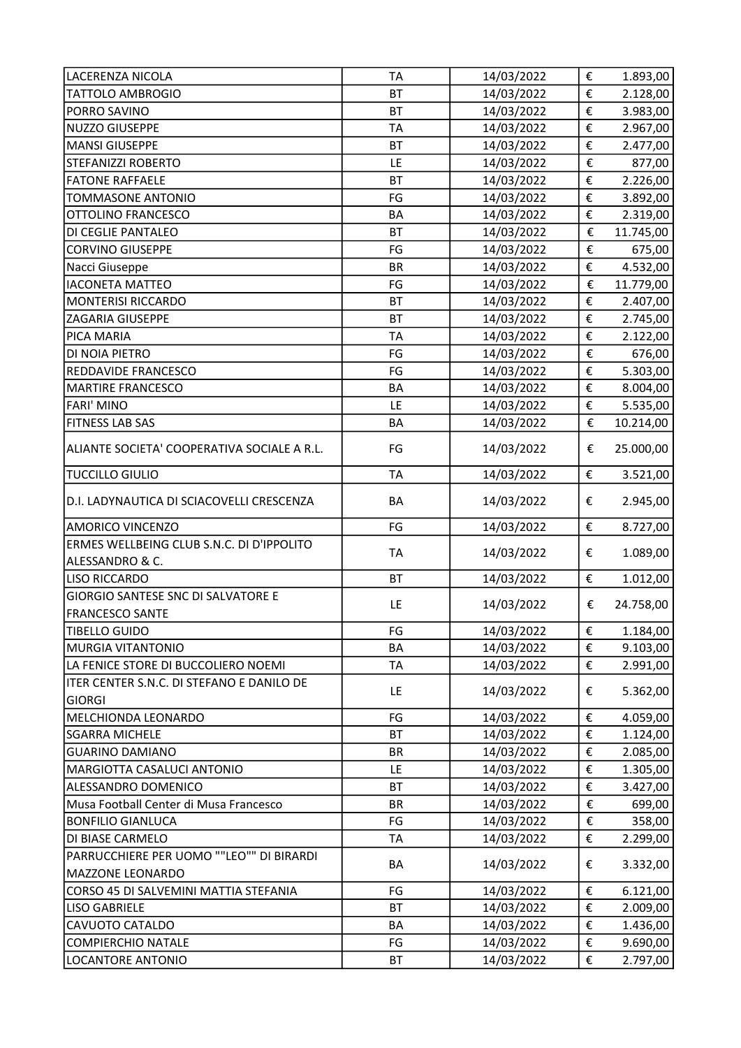| <b>LACERENZA NICOLA</b>                                          | <b>TA</b> | 14/03/2022 | €                     | 1.893,00  |
|------------------------------------------------------------------|-----------|------------|-----------------------|-----------|
| TATTOLO AMBROGIO                                                 | <b>BT</b> | 14/03/2022 | €                     | 2.128,00  |
| PORRO SAVINO                                                     | <b>BT</b> | 14/03/2022 | €                     | 3.983,00  |
| <b>NUZZO GIUSEPPE</b>                                            | <b>TA</b> | 14/03/2022 | €                     | 2.967,00  |
| <b>MANSI GIUSEPPE</b>                                            | <b>BT</b> | 14/03/2022 | €                     | 2.477,00  |
| <b>STEFANIZZI ROBERTO</b>                                        | LE        | 14/03/2022 | €                     | 877,00    |
| <b>FATONE RAFFAELE</b>                                           | <b>BT</b> | 14/03/2022 | €                     | 2.226,00  |
| <b>TOMMASONE ANTONIO</b>                                         | FG        | 14/03/2022 | €                     | 3.892,00  |
| OTTOLINO FRANCESCO                                               | <b>BA</b> | 14/03/2022 | €                     | 2.319,00  |
| DI CEGLIE PANTALEO                                               | <b>BT</b> | 14/03/2022 | €                     | 11.745,00 |
| <b>CORVINO GIUSEPPE</b>                                          | FG        | 14/03/2022 | €                     | 675,00    |
| Nacci Giuseppe                                                   | <b>BR</b> | 14/03/2022 | €                     | 4.532,00  |
| <b>IACONETA MATTEO</b>                                           | FG        | 14/03/2022 | €                     | 11.779,00 |
| <b>MONTERISI RICCARDO</b>                                        | <b>BT</b> | 14/03/2022 | €                     | 2.407,00  |
| <b>ZAGARIA GIUSEPPE</b>                                          | <b>BT</b> | 14/03/2022 | €                     | 2.745,00  |
| PICA MARIA                                                       | <b>TA</b> | 14/03/2022 | €                     | 2.122,00  |
| DI NOIA PIETRO                                                   | FG        | 14/03/2022 | €                     | 676,00    |
| REDDAVIDE FRANCESCO                                              | FG        | 14/03/2022 | €                     | 5.303,00  |
| <b>MARTIRE FRANCESCO</b>                                         | BA        | 14/03/2022 | $\overline{\epsilon}$ | 8.004,00  |
| <b>FARI' MINO</b>                                                | LE        | 14/03/2022 | €                     | 5.535,00  |
| <b>FITNESS LAB SAS</b>                                           | BA        | 14/03/2022 | €                     | 10.214,00 |
|                                                                  |           |            |                       |           |
| ALIANTE SOCIETA' COOPERATIVA SOCIALE A R.L.                      | FG        | 14/03/2022 | €                     | 25.000,00 |
| <b>TUCCILLO GIULIO</b>                                           | <b>TA</b> | 14/03/2022 | €                     | 3.521,00  |
| D.I. LADYNAUTICA DI SCIACOVELLI CRESCENZA                        | BA        | 14/03/2022 | €                     | 2.945,00  |
| <b>AMORICO VINCENZO</b>                                          | FG        | 14/03/2022 | €                     | 8.727,00  |
| ERMES WELLBEING CLUB S.N.C. DI D'IPPOLITO                        |           |            |                       |           |
| ALESSANDRO & C.                                                  | <b>TA</b> | 14/03/2022 | €                     | 1.089,00  |
| <b>LISO RICCARDO</b>                                             | <b>BT</b> | 14/03/2022 | €                     | 1.012,00  |
| <b>GIORGIO SANTESE SNC DI SALVATORE E</b>                        |           |            |                       | 24.758,00 |
| <b>FRANCESCO SANTE</b>                                           | LE        | 14/03/2022 | €                     |           |
| <b>TIBELLO GUIDO</b>                                             | FG        | 14/03/2022 | €                     | 1.184,00  |
| <b>MURGIA VITANTONIO</b>                                         | BA        | 14/03/2022 | €                     | 9.103,00  |
| LA FENICE STORE DI BUCCOLIERO NOEMI                              | TA        | 14/03/2022 | €                     | 2.991,00  |
| ITER CENTER S.N.C. DI STEFANO E DANILO DE                        |           |            |                       |           |
| <b>GIORGI</b>                                                    | LE        | 14/03/2022 | €                     | 5.362,00  |
| MELCHIONDA LEONARDO                                              | FG        | 14/03/2022 | €                     | 4.059,00  |
| <b>SGARRA MICHELE</b>                                            | <b>BT</b> | 14/03/2022 | €                     | 1.124,00  |
| <b>GUARINO DAMIANO</b>                                           | <b>BR</b> | 14/03/2022 | €                     | 2.085,00  |
| MARGIOTTA CASALUCI ANTONIO                                       | LE        | 14/03/2022 | €                     | 1.305,00  |
| ALESSANDRO DOMENICO                                              | BT        | 14/03/2022 | €                     | 3.427,00  |
| Musa Football Center di Musa Francesco                           | <b>BR</b> | 14/03/2022 | €                     | 699,00    |
| <b>BONFILIO GIANLUCA</b>                                         | FG        | 14/03/2022 | €                     | 358,00    |
| DI BIASE CARMELO                                                 | TA        | 14/03/2022 | €                     | 2.299,00  |
| PARRUCCHIERE PER UOMO ""LEO"" DI BIRARDI                         | BA        | 14/03/2022 | €                     | 3.332,00  |
| <b>MAZZONE LEONARDO</b><br>CORSO 45 DI SALVEMINI MATTIA STEFANIA | FG        | 14/03/2022 | €                     | 6.121,00  |
| <b>LISO GABRIELE</b>                                             | BT        | 14/03/2022 | €                     | 2.009,00  |
| CAVUOTO CATALDO                                                  | BA        | 14/03/2022 | €                     | 1.436,00  |
| <b>COMPIERCHIO NATALE</b>                                        | FG        | 14/03/2022 | €                     | 9.690,00  |
|                                                                  |           |            |                       |           |
| <b>LOCANTORE ANTONIO</b>                                         | ВT        | 14/03/2022 | €                     | 2.797,00  |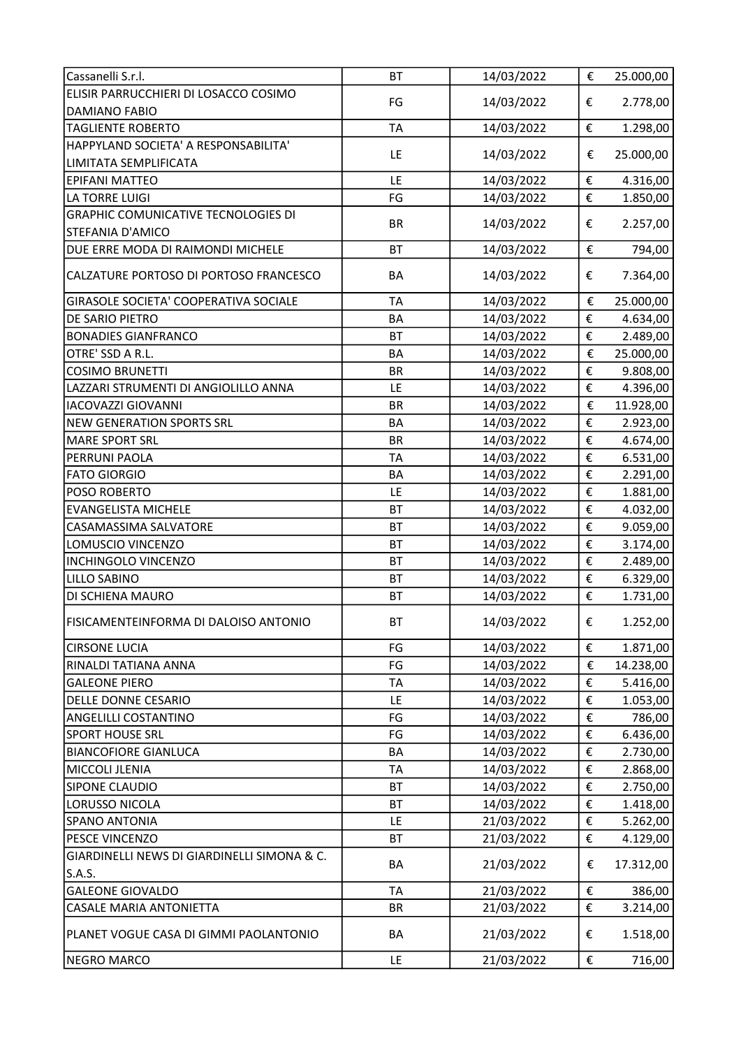| Cassanelli S.r.l.                                                        | <b>BT</b>       | 14/03/2022               | €                       | 25.000,00            |
|--------------------------------------------------------------------------|-----------------|--------------------------|-------------------------|----------------------|
| ELISIR PARRUCCHIERI DI LOSACCO COSIMO                                    |                 |                          |                         |                      |
| <b>DAMIANO FABIO</b>                                                     | FG              | 14/03/2022               | €                       | 2.778,00             |
| <b>TAGLIENTE ROBERTO</b>                                                 | <b>TA</b>       | 14/03/2022               | €                       | 1.298,00             |
| HAPPYLAND SOCIETA' A RESPONSABILITA'                                     | LE              | 14/03/2022               | €                       | 25.000,00            |
| LIMITATA SEMPLIFICATA                                                    |                 |                          |                         |                      |
| <b>EPIFANI MATTEO</b>                                                    | LE              | 14/03/2022               | €                       | 4.316,00             |
| LA TORRE LUIGI                                                           | FG              | 14/03/2022               | €                       | 1.850,00             |
| <b>GRAPHIC COMUNICATIVE TECNOLOGIES DI</b><br><b>STEFANIA D'AMICO</b>    | <b>BR</b>       | 14/03/2022               | €                       | 2.257,00             |
| DUE ERRE MODA DI RAIMONDI MICHELE                                        | <b>BT</b>       | 14/03/2022               | €                       | 794,00               |
| CALZATURE PORTOSO DI PORTOSO FRANCESCO                                   | BA              | 14/03/2022               | €                       | 7.364,00             |
| GIRASOLE SOCIETA' COOPERATIVA SOCIALE                                    | <b>TA</b>       | 14/03/2022               | €                       | 25.000,00            |
| DE SARIO PIETRO                                                          | <b>BA</b>       | 14/03/2022               | €                       | 4.634,00             |
| <b>BONADIES GIANFRANCO</b>                                               | <b>BT</b>       | 14/03/2022               | €                       | 2.489,00             |
| OTRE' SSD A R.L.                                                         | <b>BA</b>       | 14/03/2022               | €                       | 25.000,00            |
| <b>COSIMO BRUNETTI</b>                                                   | <b>BR</b>       | 14/03/2022               | €                       | 9.808,00             |
| LAZZARI STRUMENTI DI ANGIOLILLO ANNA                                     | LE              | 14/03/2022               | €                       | 4.396,00             |
| <b>IACOVAZZI GIOVANNI</b>                                                | <b>BR</b>       | 14/03/2022               | €                       | 11.928,00            |
| <b>NEW GENERATION SPORTS SRL</b>                                         | <b>BA</b>       | 14/03/2022               | €                       | 2.923,00             |
| <b>MARE SPORT SRL</b>                                                    | <b>BR</b>       | 14/03/2022               | €                       | 4.674,00             |
| PERRUNI PAOLA                                                            | <b>TA</b>       | 14/03/2022               | €                       | 6.531,00             |
| <b>FATO GIORGIO</b>                                                      | <b>BA</b>       | 14/03/2022               | €                       | 2.291,00             |
| POSO ROBERTO                                                             | LE              | 14/03/2022               | €                       | 1.881,00             |
| <b>EVANGELISTA MICHELE</b>                                               | <b>BT</b>       | 14/03/2022               | €                       | 4.032,00             |
| CASAMASSIMA SALVATORE                                                    | <b>BT</b>       | 14/03/2022               | €                       | 9.059,00             |
| LOMUSCIO VINCENZO                                                        | <b>BT</b>       | 14/03/2022               | €                       | 3.174,00             |
| <b>INCHINGOLO VINCENZO</b>                                               | <b>BT</b>       | 14/03/2022               | €                       | 2.489,00             |
| LILLO SABINO                                                             | <b>BT</b>       | 14/03/2022               | €                       | 6.329,00             |
| DI SCHIENA MAURO                                                         | BT              | 14/03/2022               | €                       | 1.731,00             |
| FISICAMENTEINFORMA DI DALOISO ANTONIO                                    | BT              | 14/03/2022               | €                       | 1.252,00             |
| <b>CIRSONE LUCIA</b>                                                     | FG              | 14/03/2022               | €                       | 1.871,00             |
| RINALDI TATIANA ANNA                                                     | FG              | 14/03/2022               | €                       | 14.238,00            |
| <b>GALEONE PIERO</b>                                                     | <b>TA</b>       | 14/03/2022               | €                       | 5.416,00             |
| DELLE DONNE CESARIO                                                      | LE              | 14/03/2022               | €                       | 1.053,00             |
| <b>ANGELILLI COSTANTINO</b>                                              | FG              | 14/03/2022               | €                       | 786,00               |
| <b>SPORT HOUSE SRL</b>                                                   | FG              | 14/03/2022               | €                       | 6.436,00             |
| <b>BIANCOFIORE GIANLUCA</b>                                              | BA              | 14/03/2022               | €                       | 2.730,00             |
| MICCOLI JLENIA                                                           | TA              | 14/03/2022               | €                       | 2.868,00             |
| <b>SIPONE CLAUDIO</b>                                                    | <b>BT</b>       | 14/03/2022               | €                       | 2.750,00             |
| LORUSSO NICOLA                                                           | <b>BT</b>       | 14/03/2022               | €                       | 1.418,00             |
| <b>SPANO ANTONIA</b>                                                     | LE              | 21/03/2022               | $\boldsymbol{\epsilon}$ | 5.262,00             |
| PESCE VINCENZO                                                           | <b>BT</b>       | 21/03/2022               | €                       | 4.129,00             |
| GIARDINELLI NEWS DI GIARDINELLI SIMONA & C.                              | BA              | 21/03/2022               | €                       | 17.312,00            |
| S.A.S.                                                                   |                 |                          |                         |                      |
| <b>GALEONE GIOVALDO</b>                                                  | <b>TA</b>       | 21/03/2022               | €                       | 386,00               |
| <b>CASALE MARIA ANTONIETTA</b><br>PLANET VOGUE CASA DI GIMMI PAOLANTONIO | <b>BR</b><br>BA | 21/03/2022<br>21/03/2022 | €<br>€                  | 3.214,00<br>1.518,00 |
|                                                                          |                 |                          |                         |                      |
| <b>NEGRO MARCO</b>                                                       | LE              | 21/03/2022               | $\boldsymbol{\epsilon}$ | 716,00               |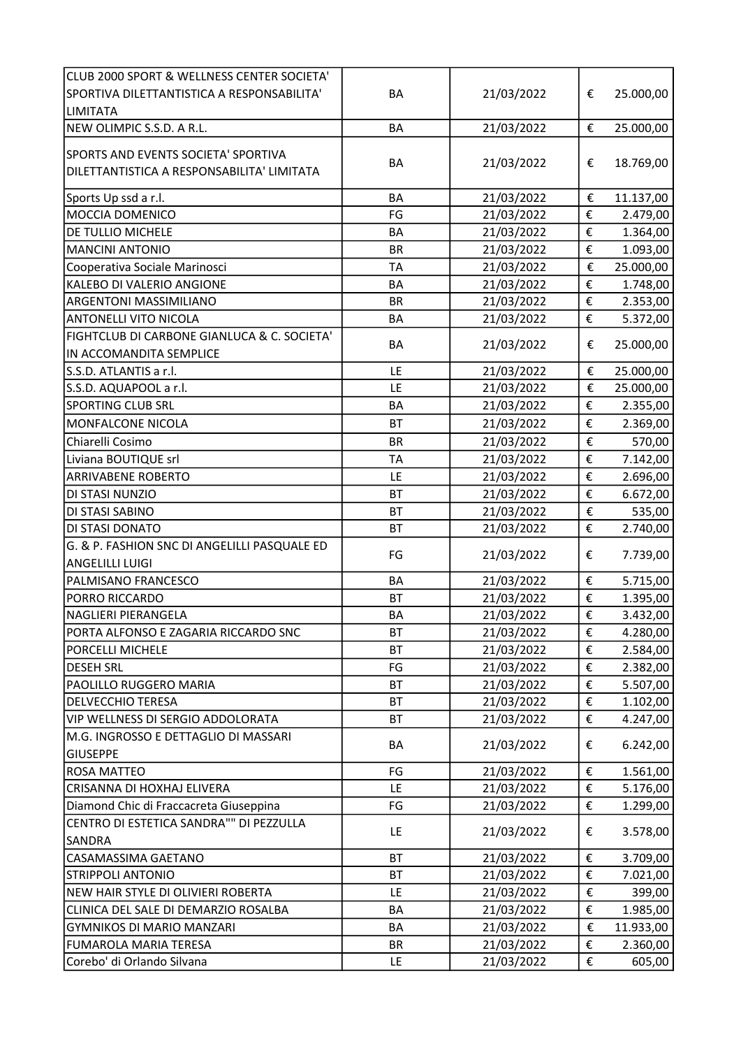| CLUB 2000 SPORT & WELLNESS CENTER SOCIETA'   |           |            |                         |           |
|----------------------------------------------|-----------|------------|-------------------------|-----------|
| SPORTIVA DILETTANTISTICA A RESPONSABILITA'   | BA        | 21/03/2022 | €                       | 25.000,00 |
| <b>LIMITATA</b>                              |           |            |                         |           |
| NEW OLIMPIC S.S.D. A R.L.                    | BA        | 21/03/2022 | €                       | 25.000,00 |
|                                              |           |            |                         |           |
| SPORTS AND EVENTS SOCIETA' SPORTIVA          | <b>BA</b> | 21/03/2022 | €                       | 18.769,00 |
| DILETTANTISTICA A RESPONSABILITA' LIMITATA   |           |            |                         |           |
| Sports Up ssd a r.l.                         | <b>BA</b> | 21/03/2022 | €                       | 11.137,00 |
| MOCCIA DOMENICO                              | FG        | 21/03/2022 | €                       | 2.479,00  |
| DE TULLIO MICHELE                            | BA        | 21/03/2022 | €                       | 1.364,00  |
| <b>MANCINI ANTONIO</b>                       | <b>BR</b> | 21/03/2022 | €                       | 1.093,00  |
| Cooperativa Sociale Marinosci                | <b>TA</b> | 21/03/2022 | €                       | 25.000,00 |
| KALEBO DI VALERIO ANGIONE                    | BA        | 21/03/2022 | $\overline{\epsilon}$   | 1.748,00  |
| <b>ARGENTONI MASSIMILIANO</b>                | <b>BR</b> | 21/03/2022 | €                       | 2.353,00  |
| <b>ANTONELLI VITO NICOLA</b>                 | <b>BA</b> | 21/03/2022 | €                       | 5.372,00  |
| FIGHTCLUB DI CARBONE GIANLUCA & C. SOCIETA'  |           |            |                         |           |
| IN ACCOMANDITA SEMPLICE                      | BA        | 21/03/2022 | €                       | 25.000,00 |
| S.S.D. ATLANTIS a r.l.                       | LE        | 21/03/2022 | €                       | 25.000,00 |
| S.S.D. AQUAPOOL a r.l.                       | LE        | 21/03/2022 | €                       | 25.000,00 |
| <b>SPORTING CLUB SRL</b>                     | <b>BA</b> | 21/03/2022 | €                       | 2.355,00  |
| MONFALCONE NICOLA                            | <b>BT</b> | 21/03/2022 | €                       | 2.369,00  |
| Chiarelli Cosimo                             | <b>BR</b> | 21/03/2022 | €                       | 570,00    |
| Liviana BOUTIQUE srl                         | <b>TA</b> | 21/03/2022 | €                       | 7.142,00  |
| <b>ARRIVABENE ROBERTO</b>                    | LE        | 21/03/2022 | €                       | 2.696,00  |
| DI STASI NUNZIO                              | <b>BT</b> | 21/03/2022 | €                       | 6.672,00  |
| DI STASI SABINO                              | <b>BT</b> | 21/03/2022 | €                       | 535,00    |
| DI STASI DONATO                              | <b>BT</b> | 21/03/2022 | €                       | 2.740,00  |
| G. & P. FASHION SNC DI ANGELILLI PASQUALE ED |           |            |                         |           |
| <b>ANGELILLI LUIGI</b>                       | FG        | 21/03/2022 | €                       | 7.739,00  |
| PALMISANO FRANCESCO                          | <b>BA</b> | 21/03/2022 | €                       | 5.715,00  |
| PORRO RICCARDO                               | <b>BT</b> | 21/03/2022 | €                       | 1.395,00  |
| <b>NAGLIERI PIERANGELA</b>                   | <b>BA</b> | 21/03/2022 | €                       | 3.432,00  |
| PORTA ALFONSO E ZAGARIA RICCARDO SNC         | <b>BT</b> | 21/03/2022 | €                       | 4.280,00  |
| PORCELLI MICHELE                             | <b>BT</b> | 21/03/2022 | €                       | 2.584,00  |
| <b>DESEH SRL</b>                             | FG        | 21/03/2022 | €                       | 2.382,00  |
| PAOLILLO RUGGERO MARIA                       | <b>BT</b> | 21/03/2022 | €                       | 5.507,00  |
| <b>DELVECCHIO TERESA</b>                     | <b>BT</b> | 21/03/2022 | $\boldsymbol{\epsilon}$ | 1.102,00  |
| <b>VIP WELLNESS DI SERGIO ADDOLORATA</b>     | <b>BT</b> | 21/03/2022 | €                       | 4.247,00  |
| M.G. INGROSSO E DETTAGLIO DI MASSARI         |           |            |                         |           |
| <b>GIUSEPPE</b>                              | BA        | 21/03/2022 | €                       | 6.242,00  |
| <b>ROSA MATTEO</b>                           | FG        | 21/03/2022 | €                       | 1.561,00  |
| CRISANNA DI HOXHAJ ELIVERA                   | LE        | 21/03/2022 | €                       | 5.176,00  |
| Diamond Chic di Fraccacreta Giuseppina       | FG        | 21/03/2022 | €                       | 1.299,00  |
| CENTRO DI ESTETICA SANDRA"" DI PEZZULLA      |           |            |                         |           |
| SANDRA                                       | LE        | 21/03/2022 | €                       | 3.578,00  |
| CASAMASSIMA GAETANO                          | <b>BT</b> | 21/03/2022 | €                       | 3.709,00  |
| <b>STRIPPOLI ANTONIO</b>                     | <b>BT</b> | 21/03/2022 | €                       | 7.021,00  |
| NEW HAIR STYLE DI OLIVIERI ROBERTA           | LE        | 21/03/2022 | €                       | 399,00    |
| CLINICA DEL SALE DI DEMARZIO ROSALBA         | BA        | 21/03/2022 | €                       | 1.985,00  |
| <b>GYMNIKOS DI MARIO MANZARI</b>             | BA        | 21/03/2022 | €                       | 11.933,00 |
| <b>FUMAROLA MARIA TERESA</b>                 | <b>BR</b> | 21/03/2022 | €                       | 2.360,00  |
| Corebo' di Orlando Silvana                   | LE        | 21/03/2022 | €                       | 605,00    |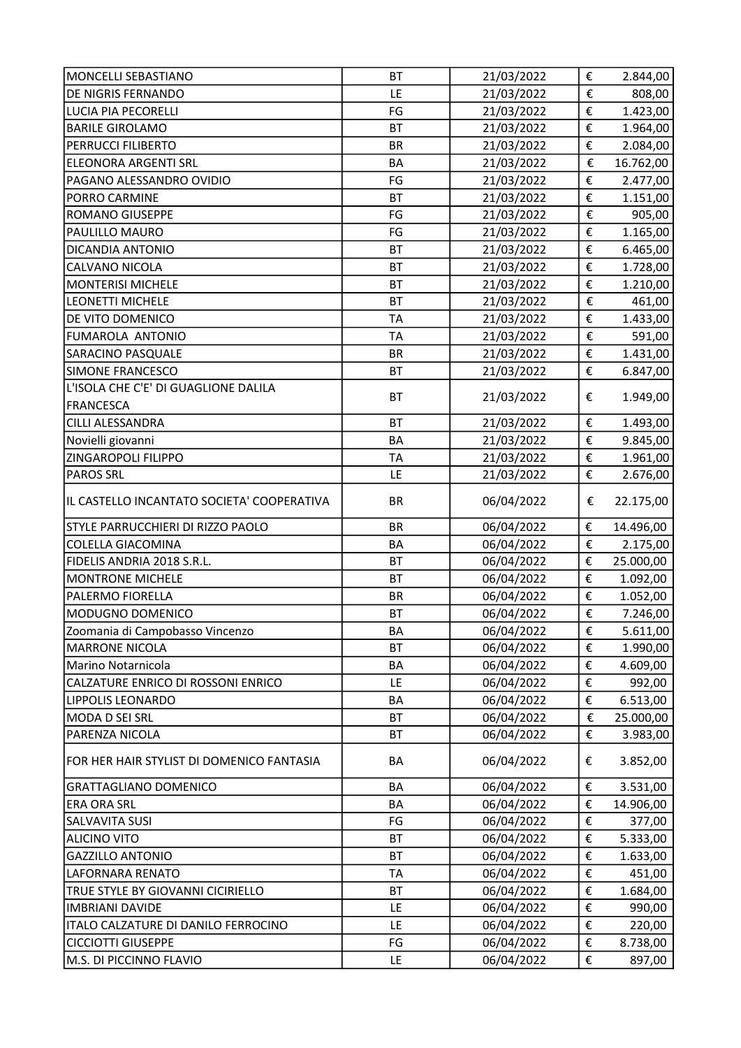| MONCELLI SEBASTIANO                        | <b>BT</b> | 21/03/2022 | €                       | 2.844,00  |
|--------------------------------------------|-----------|------------|-------------------------|-----------|
| <b>DE NIGRIS FERNANDO</b>                  | LE        | 21/03/2022 | €                       | 808,00    |
| LUCIA PIA PECORELLI                        | FG        | 21/03/2022 | €                       | 1.423,00  |
| <b>BARILE GIROLAMO</b>                     | <b>BT</b> | 21/03/2022 | €                       | 1.964,00  |
| PERRUCCI FILIBERTO                         | <b>BR</b> | 21/03/2022 | €                       | 2.084,00  |
| <b>ELEONORA ARGENTI SRL</b>                | <b>BA</b> | 21/03/2022 | €                       | 16.762,00 |
| PAGANO ALESSANDRO OVIDIO                   | FG        | 21/03/2022 | €                       | 2.477,00  |
| PORRO CARMINE                              | <b>BT</b> | 21/03/2022 | €                       | 1.151,00  |
| <b>ROMANO GIUSEPPE</b>                     | FG        | 21/03/2022 | €                       | 905,00    |
| PAULILLO MAURO                             | FG        | 21/03/2022 | €                       | 1.165,00  |
| DICANDIA ANTONIO                           | <b>BT</b> | 21/03/2022 | €                       | 6.465,00  |
| CALVANO NICOLA                             | <b>BT</b> | 21/03/2022 | €                       | 1.728,00  |
| <b>MONTERISI MICHELE</b>                   | <b>BT</b> | 21/03/2022 | €                       | 1.210,00  |
| LEONETTI MICHELE                           | <b>BT</b> | 21/03/2022 | €                       | 461,00    |
| DE VITO DOMENICO                           | <b>TA</b> | 21/03/2022 | €                       | 1.433,00  |
| FUMAROLA ANTONIO                           | <b>TA</b> | 21/03/2022 | €                       | 591,00    |
| <b>SARACINO PASQUALE</b>                   | <b>BR</b> | 21/03/2022 | €                       | 1.431,00  |
| SIMONE FRANCESCO                           | <b>BT</b> | 21/03/2022 | €                       | 6.847,00  |
| L'ISOLA CHE C'E' DI GUAGLIONE DALILA       |           |            |                         |           |
| <b>FRANCESCA</b>                           | <b>BT</b> | 21/03/2022 | €                       | 1.949,00  |
| CILLI ALESSANDRA                           | <b>BT</b> | 21/03/2022 | €                       | 1.493,00  |
| Novielli giovanni                          | <b>BA</b> | 21/03/2022 | €                       | 9.845,00  |
| ZINGAROPOLI FILIPPO                        | <b>TA</b> | 21/03/2022 | €                       | 1.961,00  |
| <b>PAROS SRL</b>                           | LE        | 21/03/2022 | €                       | 2.676,00  |
| IL CASTELLO INCANTATO SOCIETA' COOPERATIVA | <b>BR</b> | 06/04/2022 | €                       | 22.175,00 |
| STYLE PARRUCCHIERI DI RIZZO PAOLO          | <b>BR</b> | 06/04/2022 | €                       | 14.496,00 |
| <b>COLELLA GIACOMINA</b>                   | <b>BA</b> | 06/04/2022 | €                       | 2.175,00  |
| FIDELIS ANDRIA 2018 S.R.L.                 | <b>BT</b> | 06/04/2022 | €                       | 25.000,00 |
| <b>MONTRONE MICHELE</b>                    | <b>BT</b> | 06/04/2022 | €                       | 1.092,00  |
| PALERMO FIORELLA                           | <b>BR</b> | 06/04/2022 | €                       | 1.052,00  |
| MODUGNO DOMENICO                           | BT        | 06/04/2022 | €                       | 7.246,00  |
| Zoomania di Campobasso Vincenzo            | BA        | 06/04/2022 | €                       | 5.611,00  |
| <b>MARRONE NICOLA</b>                      | <b>BT</b> | 06/04/2022 | €                       | 1.990,00  |
| Marino Notarnicola                         | BA        | 06/04/2022 | €                       | 4.609,00  |
| CALZATURE ENRICO DI ROSSONI ENRICO         | LE        | 06/04/2022 | €                       | 992,00    |
| <b>LIPPOLIS LEONARDO</b>                   | BA        | 06/04/2022 | €                       | 6.513,00  |
| MODA D SEI SRL                             | BT        | 06/04/2022 | $\boldsymbol{\epsilon}$ | 25.000,00 |
| PARENZA NICOLA                             | BT        | 06/04/2022 | €                       | 3.983,00  |
| FOR HER HAIR STYLIST DI DOMENICO FANTASIA  | BA        | 06/04/2022 | €                       | 3.852,00  |
| <b>GRATTAGLIANO DOMENICO</b>               | BA        | 06/04/2022 | €                       | 3.531,00  |
| <b>ERA ORA SRL</b>                         | BA        | 06/04/2022 | €                       | 14.906,00 |
| SALVAVITA SUSI                             | FG        | 06/04/2022 | €                       | 377,00    |
| <b>ALICINO VITO</b>                        | ВT        | 06/04/2022 | €                       | 5.333,00  |
| <b>GAZZILLO ANTONIO</b>                    | BT        | 06/04/2022 | €                       | 1.633,00  |
| LAFORNARA RENATO                           | <b>TA</b> | 06/04/2022 | €                       | 451,00    |
| TRUE STYLE BY GIOVANNI CICIRIELLO          | <b>BT</b> | 06/04/2022 | €                       | 1.684,00  |
| <b>IMBRIANI DAVIDE</b>                     | LE        | 06/04/2022 | €                       | 990,00    |
| ITALO CALZATURE DI DANILO FERROCINO        | LE        | 06/04/2022 | €                       | 220,00    |
| <b>CICCIOTTI GIUSEPPE</b>                  | FG        | 06/04/2022 | €                       | 8.738,00  |
| M.S. DI PICCINNO FLAVIO                    | LE        | 06/04/2022 | €                       | 897,00    |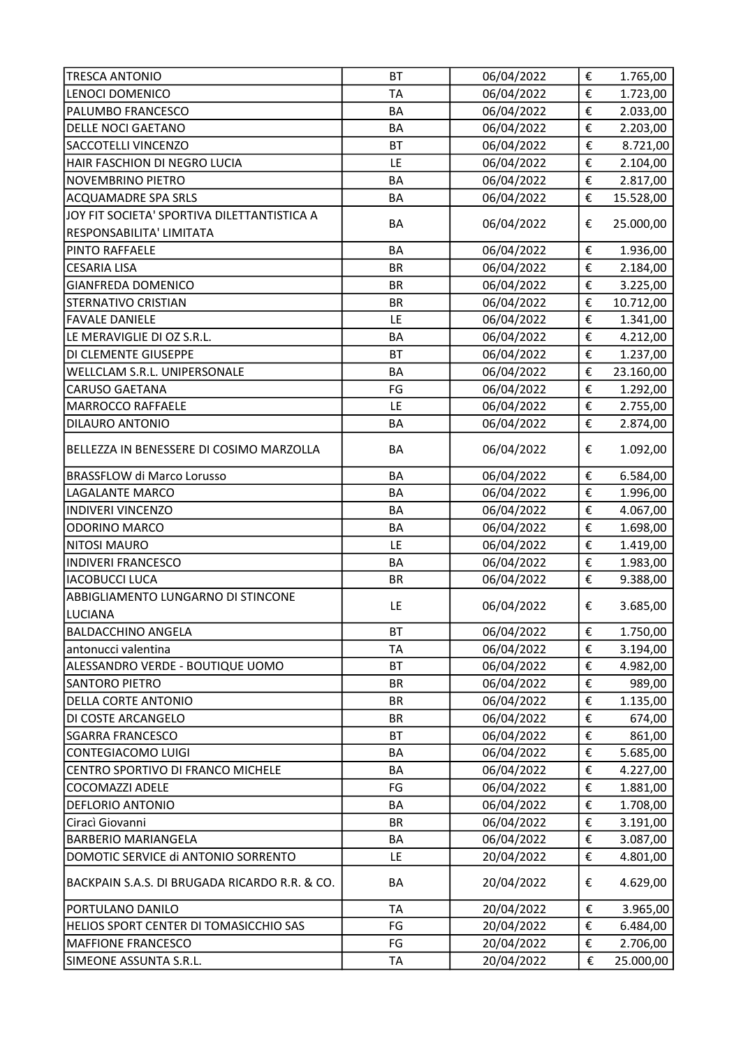| <b>TRESCA ANTONIO</b>                         | <b>BT</b> | 06/04/2022 | €                       | 1.765,00  |
|-----------------------------------------------|-----------|------------|-------------------------|-----------|
| LENOCI DOMENICO                               | <b>TA</b> | 06/04/2022 | €                       | 1.723,00  |
| PALUMBO FRANCESCO                             | <b>BA</b> | 06/04/2022 | €                       | 2.033,00  |
| DELLE NOCI GAETANO                            | <b>BA</b> | 06/04/2022 | €                       | 2.203,00  |
| <b>SACCOTELLI VINCENZO</b>                    | <b>BT</b> | 06/04/2022 | €                       | 8.721,00  |
| HAIR FASCHION DI NEGRO LUCIA                  | LE        | 06/04/2022 | €                       | 2.104,00  |
| <b>NOVEMBRINO PIETRO</b>                      | BA        | 06/04/2022 | €                       | 2.817,00  |
| <b>ACQUAMADRE SPA SRLS</b>                    | BA        | 06/04/2022 | €                       | 15.528,00 |
| JOY FIT SOCIETA' SPORTIVA DILETTANTISTICA A   |           |            |                         |           |
| RESPONSABILITA' LIMITATA                      | <b>BA</b> | 06/04/2022 | €                       | 25.000,00 |
| PINTO RAFFAELE                                | <b>BA</b> | 06/04/2022 | €                       | 1.936,00  |
| <b>CESARIA LISA</b>                           | <b>BR</b> | 06/04/2022 | €                       | 2.184,00  |
| <b>GIANFREDA DOMENICO</b>                     | <b>BR</b> | 06/04/2022 | €                       | 3.225,00  |
| <b>STERNATIVO CRISTIAN</b>                    | <b>BR</b> | 06/04/2022 | €                       | 10.712,00 |
| <b>FAVALE DANIELE</b>                         | LE        | 06/04/2022 | €                       | 1.341,00  |
| LE MERAVIGLIE DI OZ S.R.L.                    | BA        | 06/04/2022 | €                       | 4.212,00  |
| DI CLEMENTE GIUSEPPE                          | <b>BT</b> | 06/04/2022 | €                       | 1.237,00  |
| WELLCLAM S.R.L. UNIPERSONALE                  | <b>BA</b> | 06/04/2022 | €                       | 23.160,00 |
| <b>CARUSO GAETANA</b>                         | FG        | 06/04/2022 | €                       | 1.292,00  |
| <b>MARROCCO RAFFAELE</b>                      | LE        | 06/04/2022 | €                       | 2.755,00  |
| <b>DILAURO ANTONIO</b>                        | <b>BA</b> | 06/04/2022 | €                       | 2.874,00  |
|                                               |           |            |                         |           |
| BELLEZZA IN BENESSERE DI COSIMO MARZOLLA      | <b>BA</b> | 06/04/2022 | €                       | 1.092,00  |
| <b>BRASSFLOW di Marco Lorusso</b>             | BA        | 06/04/2022 | €                       | 6.584,00  |
| LAGALANTE MARCO                               | BA        | 06/04/2022 | €                       | 1.996,00  |
| <b>INDIVERI VINCENZO</b>                      | <b>BA</b> | 06/04/2022 | €                       | 4.067,00  |
| ODORINO MARCO                                 | BA        | 06/04/2022 | €                       | 1.698,00  |
| <b>NITOSI MAURO</b>                           | LE        | 06/04/2022 | €                       | 1.419,00  |
| <b>INDIVERI FRANCESCO</b>                     | <b>BA</b> | 06/04/2022 | €                       | 1.983,00  |
| <b>IACOBUCCI LUCA</b>                         | <b>BR</b> | 06/04/2022 | €                       | 9.388,00  |
| ABBIGLIAMENTO LUNGARNO DI STINCONE            | LE        |            | €                       |           |
| <b>LUCIANA</b>                                |           | 06/04/2022 |                         | 3.685,00  |
| <b>BALDACCHINO ANGELA</b>                     | <b>BT</b> | 06/04/2022 | €                       | 1.750,00  |
| antonucci valentina                           | <b>TA</b> | 06/04/2022 | €                       | 3.194,00  |
| ALESSANDRO VERDE - BOUTIQUE UOMO              | <b>BT</b> | 06/04/2022 | €                       | 4.982,00  |
| <b>SANTORO PIETRO</b>                         | <b>BR</b> | 06/04/2022 | €                       | 989,00    |
| DELLA CORTE ANTONIO                           | <b>BR</b> | 06/04/2022 | $\boldsymbol{\epsilon}$ | 1.135,00  |
| DI COSTE ARCANGELO                            | <b>BR</b> | 06/04/2022 | €                       | 674,00    |
| <b>SGARRA FRANCESCO</b>                       | <b>BT</b> | 06/04/2022 | €                       | 861,00    |
| CONTEGIACOMO LUIGI                            | BA        | 06/04/2022 | €                       | 5.685,00  |
| CENTRO SPORTIVO DI FRANCO MICHELE             | BA        | 06/04/2022 | €                       | 4.227,00  |
| <b>COCOMAZZI ADELE</b>                        | FG        | 06/04/2022 | €                       | 1.881,00  |
| DEFLORIO ANTONIO                              | BA        | 06/04/2022 | €                       | 1.708,00  |
| Ciracì Giovanni                               | <b>BR</b> | 06/04/2022 | €                       | 3.191,00  |
| <b>BARBERIO MARIANGELA</b>                    | BA        | 06/04/2022 | €                       | 3.087,00  |
| DOMOTIC SERVICE di ANTONIO SORRENTO           | LE        | 20/04/2022 | €                       | 4.801,00  |
| BACKPAIN S.A.S. DI BRUGADA RICARDO R.R. & CO. | BA        | 20/04/2022 | €                       | 4.629,00  |
| PORTULANO DANILO                              | <b>TA</b> | 20/04/2022 | €                       | 3.965,00  |
| HELIOS SPORT CENTER DI TOMASICCHIO SAS        | FG        | 20/04/2022 | €                       | 6.484,00  |
| <b>MAFFIONE FRANCESCO</b>                     | FG        | 20/04/2022 | €                       | 2.706,00  |
| SIMEONE ASSUNTA S.R.L.                        | TA        | 20/04/2022 | €                       | 25.000,00 |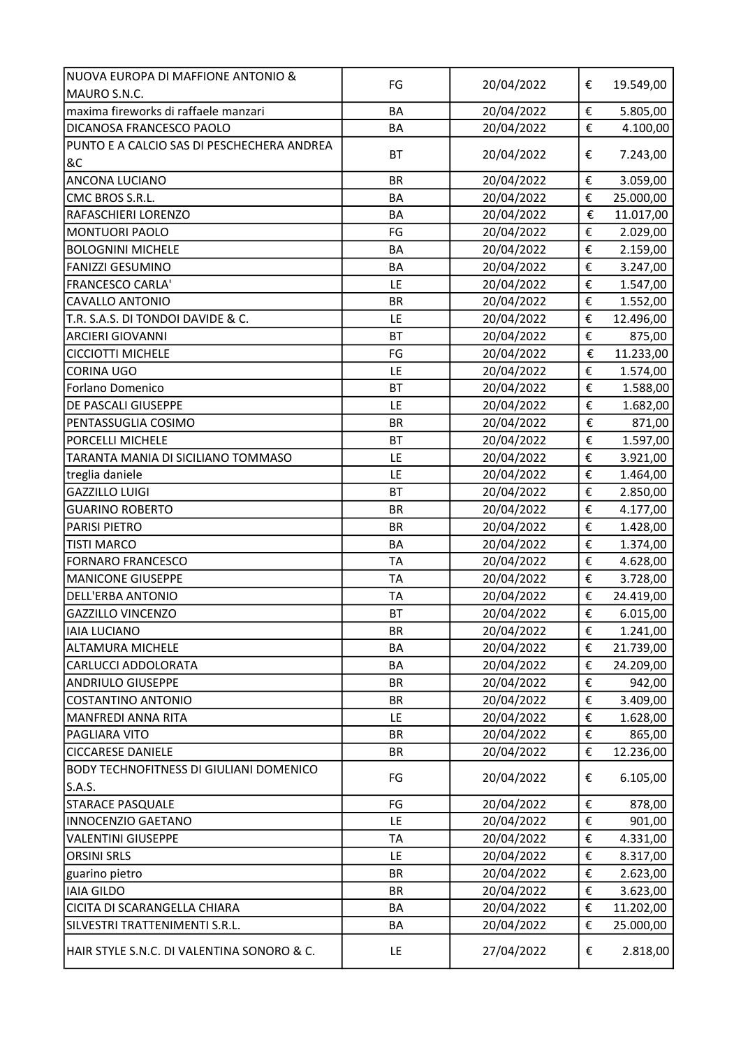| NUOVA EUROPA DI MAFFIONE ANTONIO &               |           |            |   |           |
|--------------------------------------------------|-----------|------------|---|-----------|
| MAURO S.N.C.                                     | FG        | 20/04/2022 | € | 19.549,00 |
| maxima fireworks di raffaele manzari             | BA        | 20/04/2022 | € | 5.805,00  |
| DICANOSA FRANCESCO PAOLO                         | BA        | 20/04/2022 | € | 4.100,00  |
| PUNTO E A CALCIO SAS DI PESCHECHERA ANDREA<br>8C | <b>BT</b> | 20/04/2022 | € | 7.243,00  |
| <b>ANCONA LUCIANO</b>                            | <b>BR</b> | 20/04/2022 | € | 3.059,00  |
| CMC BROS S.R.L.                                  | <b>BA</b> | 20/04/2022 | € | 25.000,00 |
| <b>RAFASCHIERI LORENZO</b>                       | BA        | 20/04/2022 | € | 11.017,00 |
| MONTUORI PAOLO                                   | FG        | 20/04/2022 | € | 2.029,00  |
| <b>BOLOGNINI MICHELE</b>                         | <b>BA</b> | 20/04/2022 | € | 2.159,00  |
| <b>FANIZZI GESUMINO</b>                          | BA        | 20/04/2022 | € | 3.247,00  |
| <b>FRANCESCO CARLA'</b>                          | LE        | 20/04/2022 | € | 1.547,00  |
| <b>CAVALLO ANTONIO</b>                           | <b>BR</b> | 20/04/2022 | € | 1.552,00  |
| T.R. S.A.S. DI TONDOI DAVIDE & C.                | LE        | 20/04/2022 | € | 12.496,00 |
| <b>ARCIERI GIOVANNI</b>                          | <b>BT</b> | 20/04/2022 | € | 875,00    |
| <b>CICCIOTTI MICHELE</b>                         | FG        | 20/04/2022 | € | 11.233,00 |
| <b>CORINA UGO</b>                                | LE        | 20/04/2022 | € | 1.574,00  |
| Forlano Domenico                                 | <b>BT</b> | 20/04/2022 | € | 1.588,00  |
| DE PASCALI GIUSEPPE                              | LE        | 20/04/2022 | € | 1.682,00  |
| PENTASSUGLIA COSIMO                              | <b>BR</b> | 20/04/2022 | € | 871,00    |
| PORCELLI MICHELE                                 | <b>BT</b> | 20/04/2022 | € | 1.597,00  |
| TARANTA MANIA DI SICILIANO TOMMASO               | LE        | 20/04/2022 | € | 3.921,00  |
| treglia daniele                                  | LE        | 20/04/2022 | € | 1.464,00  |
| <b>GAZZILLO LUIGI</b>                            | <b>BT</b> | 20/04/2022 | € | 2.850,00  |
| <b>GUARINO ROBERTO</b>                           | <b>BR</b> | 20/04/2022 | € | 4.177,00  |
| <b>PARISI PIETRO</b>                             | <b>BR</b> | 20/04/2022 | € | 1.428,00  |
| <b>TISTI MARCO</b>                               | <b>BA</b> | 20/04/2022 | € | 1.374,00  |
| <b>FORNARO FRANCESCO</b>                         | <b>TA</b> | 20/04/2022 | € | 4.628,00  |
| <b>MANICONE GIUSEPPE</b>                         | <b>TA</b> | 20/04/2022 | € | 3.728,00  |
| <b>DELL'ERBA ANTONIO</b>                         | <b>TA</b> | 20/04/2022 | € | 24.419,00 |
| <b>GAZZILLO VINCENZO</b>                         | <b>BT</b> | 20/04/2022 | € | 6.015,00  |
| <b>IAIA LUCIANO</b>                              | <b>BR</b> | 20/04/2022 | € | 1.241,00  |
| <b>ALTAMURA MICHELE</b>                          | BA        | 20/04/2022 | € | 21.739,00 |
| CARLUCCI ADDOLORATA                              | BA        | 20/04/2022 | € | 24.209,00 |
| <b>ANDRIULO GIUSEPPE</b>                         | <b>BR</b> | 20/04/2022 | € | 942,00    |
| <b>COSTANTINO ANTONIO</b>                        | <b>BR</b> | 20/04/2022 | € | 3.409,00  |
| MANFREDI ANNA RITA                               | LE        | 20/04/2022 | € | 1.628,00  |
| PAGLIARA VITO                                    | <b>BR</b> | 20/04/2022 | € | 865,00    |
| <b>CICCARESE DANIELE</b>                         | <b>BR</b> | 20/04/2022 | € | 12.236,00 |
| BODY TECHNOFITNESS DI GIULIANI DOMENICO          |           |            |   |           |
| S.A.S.                                           | FG        | 20/04/2022 | € | 6.105,00  |
| <b>STARACE PASQUALE</b>                          | FG        | 20/04/2022 | € | 878,00    |
| <b>INNOCENZIO GAETANO</b>                        | LE        | 20/04/2022 | € | 901,00    |
| <b>VALENTINI GIUSEPPE</b>                        | TA        | 20/04/2022 | € | 4.331,00  |
| <b>ORSINI SRLS</b>                               | LE        | 20/04/2022 | € | 8.317,00  |
| guarino pietro                                   | <b>BR</b> | 20/04/2022 | € | 2.623,00  |
| <b>IAIA GILDO</b>                                | <b>BR</b> | 20/04/2022 | € | 3.623,00  |
| CICITA DI SCARANGELLA CHIARA                     | <b>BA</b> | 20/04/2022 | € | 11.202,00 |
| SILVESTRI TRATTENIMENTI S.R.L.                   | BA        | 20/04/2022 | € | 25.000,00 |
|                                                  |           |            |   |           |
| HAIR STYLE S.N.C. DI VALENTINA SONORO & C.       | LE        | 27/04/2022 | € | 2.818,00  |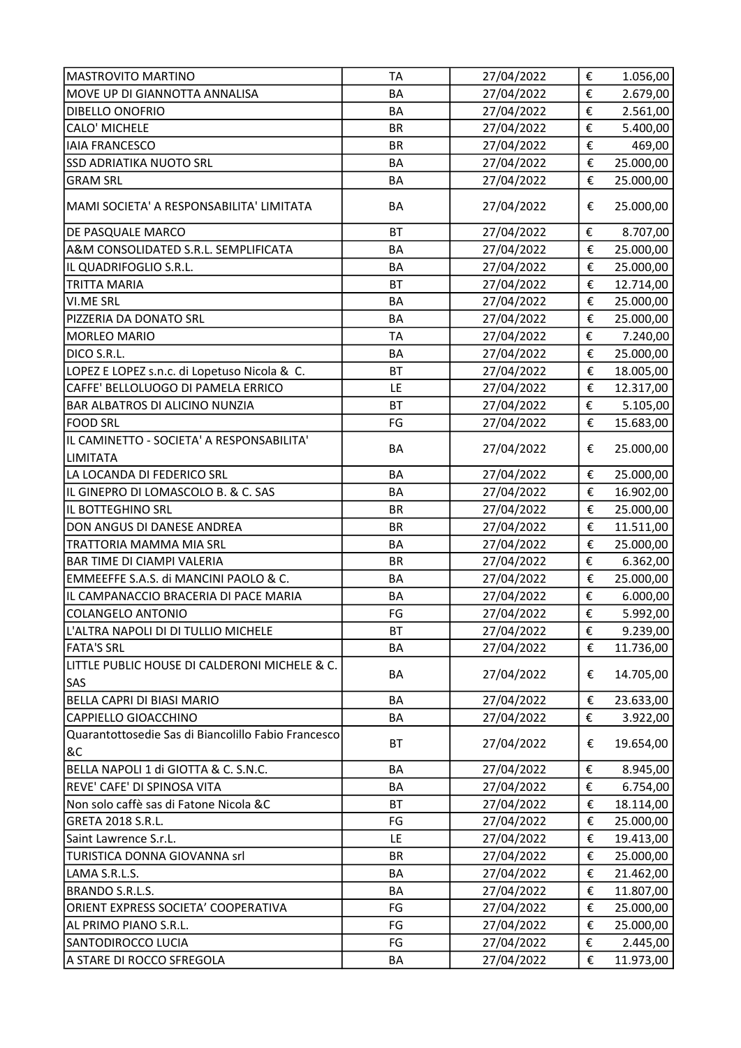| <b>MASTROVITO MARTINO</b>                                   | <b>TA</b> | 27/04/2022 | €                       | 1.056,00  |
|-------------------------------------------------------------|-----------|------------|-------------------------|-----------|
| MOVE UP DI GIANNOTTA ANNALISA                               | <b>BA</b> | 27/04/2022 | €                       | 2.679,00  |
| DIBELLO ONOFRIO                                             | <b>BA</b> | 27/04/2022 | €                       | 2.561,00  |
| <b>CALO' MICHELE</b>                                        | <b>BR</b> | 27/04/2022 | €                       | 5.400,00  |
| <b>IAIA FRANCESCO</b>                                       | <b>BR</b> | 27/04/2022 | €                       | 469,00    |
| <b>SSD ADRIATIKA NUOTO SRL</b>                              | <b>BA</b> | 27/04/2022 | $\pmb{\epsilon}$        | 25.000,00 |
| <b>GRAM SRL</b>                                             | BA        | 27/04/2022 | €                       | 25.000,00 |
| MAMI SOCIETA' A RESPONSABILITA' LIMITATA                    | <b>BA</b> | 27/04/2022 | €                       | 25.000,00 |
| DE PASQUALE MARCO                                           | <b>BT</b> | 27/04/2022 | €                       | 8.707,00  |
| A&M CONSOLIDATED S.R.L. SEMPLIFICATA                        | <b>BA</b> | 27/04/2022 | €                       | 25.000,00 |
| IL QUADRIFOGLIO S.R.L.                                      | <b>BA</b> | 27/04/2022 | €                       | 25.000,00 |
| <b>TRITTA MARIA</b>                                         | BT        | 27/04/2022 | €                       | 12.714,00 |
| <b>VI.ME SRL</b>                                            | <b>BA</b> | 27/04/2022 | €                       | 25.000,00 |
| PIZZERIA DA DONATO SRL                                      | <b>BA</b> | 27/04/2022 | €                       | 25.000,00 |
| MORLEO MARIO                                                | <b>TA</b> | 27/04/2022 | €                       | 7.240,00  |
| DICO S.R.L.                                                 | <b>BA</b> | 27/04/2022 | €                       | 25.000,00 |
| LOPEZ E LOPEZ s.n.c. di Lopetuso Nicola & C.                | <b>BT</b> | 27/04/2022 | €                       | 18.005,00 |
| CAFFE' BELLOLUOGO DI PAMELA ERRICO                          | LE        | 27/04/2022 | €                       | 12.317,00 |
| <b>BAR ALBATROS DI ALICINO NUNZIA</b>                       | <b>BT</b> | 27/04/2022 | €                       | 5.105,00  |
| <b>FOOD SRL</b>                                             | FG        | 27/04/2022 | €                       | 15.683,00 |
| IL CAMINETTO - SOCIETA' A RESPONSABILITA'                   |           |            |                         |           |
| LIMITATA                                                    | BA        | 27/04/2022 | €                       | 25.000,00 |
| LA LOCANDA DI FEDERICO SRL                                  | <b>BA</b> | 27/04/2022 | €                       | 25.000,00 |
| IL GINEPRO DI LOMASCOLO B. & C. SAS                         | <b>BA</b> | 27/04/2022 | €                       | 16.902,00 |
| IL BOTTEGHINO SRL                                           | <b>BR</b> | 27/04/2022 | €                       | 25.000,00 |
| DON ANGUS DI DANESE ANDREA                                  | <b>BR</b> | 27/04/2022 | €                       | 11.511,00 |
| TRATTORIA MAMMA MIA SRL                                     | <b>BA</b> | 27/04/2022 | €                       | 25.000,00 |
| <b>BAR TIME DI CIAMPI VALERIA</b>                           | <b>BR</b> | 27/04/2022 | €                       | 6.362,00  |
| EMMEEFFE S.A.S. di MANCINI PAOLO & C.                       | <b>BA</b> | 27/04/2022 | €                       | 25.000,00 |
| IL CAMPANACCIO BRACERIA DI PACE MARIA                       | BA        | 27/04/2022 | €                       | 6.000,00  |
| COLANGELO ANTONIO                                           | FG        | 27/04/2022 | €                       | 5.992,00  |
| L'ALTRA NAPOLI DI DI TULLIO MICHELE                         | BT        | 27/04/2022 | €                       | 9.239,00  |
| <b>FATA'S SRL</b>                                           | BA        | 27/04/2022 | €                       | 11.736,00 |
| LITTLE PUBLIC HOUSE DI CALDERONI MICHELE & C.<br><b>SAS</b> | BA        | 27/04/2022 | €                       | 14.705,00 |
| BELLA CAPRI DI BIASI MARIO                                  | BA        | 27/04/2022 | €                       | 23.633,00 |
| CAPPIELLO GIOACCHINO                                        | BA        | 27/04/2022 | €                       | 3.922,00  |
| Quarantottosedie Sas di Biancolillo Fabio Francesco<br>8C   | <b>BT</b> | 27/04/2022 | €                       | 19.654,00 |
| BELLA NAPOLI 1 di GIOTTA & C. S.N.C.                        | BA        | 27/04/2022 | €                       | 8.945,00  |
| REVE' CAFE' DI SPINOSA VITA                                 | BA        | 27/04/2022 | €                       | 6.754,00  |
| Non solo caffè sas di Fatone Nicola &C                      | <b>BT</b> | 27/04/2022 | €                       | 18.114,00 |
| GRETA 2018 S.R.L.                                           | FG        | 27/04/2022 | $\boldsymbol{\epsilon}$ | 25.000,00 |
| Saint Lawrence S.r.L.                                       | LE        | 27/04/2022 | €                       | 19.413,00 |
| TURISTICA DONNA GIOVANNA srl                                | <b>BR</b> | 27/04/2022 | €                       | 25.000,00 |
| LAMA S.R.L.S.                                               | BA        | 27/04/2022 | €                       | 21.462,00 |
| BRANDO S.R.L.S.                                             | BA        | 27/04/2022 | €                       | 11.807,00 |
| ORIENT EXPRESS SOCIETA' COOPERATIVA                         | FG        | 27/04/2022 | €                       | 25.000,00 |
| AL PRIMO PIANO S.R.L.                                       | FG        | 27/04/2022 | €                       | 25.000,00 |
| <b>SANTODIROCCO LUCIA</b>                                   | FG        | 27/04/2022 | €                       | 2.445,00  |
| A STARE DI ROCCO SFREGOLA                                   | BA        | 27/04/2022 | €                       | 11.973,00 |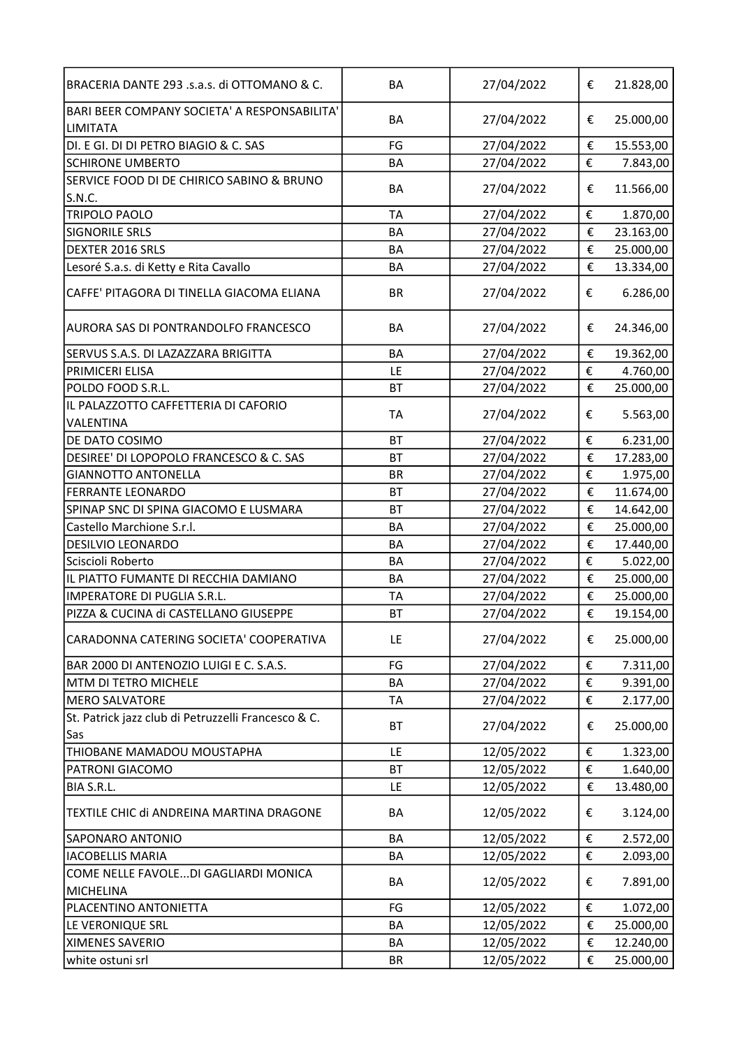| BRACERIA DANTE 293 .s.a.s. di OTTOMANO & C.                | BA        | 27/04/2022 | €                       | 21.828,00 |
|------------------------------------------------------------|-----------|------------|-------------------------|-----------|
| BARI BEER COMPANY SOCIETA' A RESPONSABILITA'<br>LIMITATA   | <b>BA</b> | 27/04/2022 | €                       | 25.000,00 |
| DI. E GI. DI DI PETRO BIAGIO & C. SAS                      | FG        | 27/04/2022 | €                       | 15.553,00 |
| <b>SCHIRONE UMBERTO</b>                                    | <b>BA</b> | 27/04/2022 | €                       | 7.843,00  |
| SERVICE FOOD DI DE CHIRICO SABINO & BRUNO<br>S.N.C.        | BA        | 27/04/2022 | €                       | 11.566,00 |
| <b>TRIPOLO PAOLO</b>                                       | <b>TA</b> | 27/04/2022 | €                       | 1.870,00  |
| <b>SIGNORILE SRLS</b>                                      | BA        | 27/04/2022 | €                       | 23.163,00 |
| DEXTER 2016 SRLS                                           | <b>BA</b> | 27/04/2022 | €                       | 25.000,00 |
| Lesoré S.a.s. di Ketty e Rita Cavallo                      | <b>BA</b> | 27/04/2022 | €                       | 13.334,00 |
| CAFFE' PITAGORA DI TINELLA GIACOMA ELIANA                  | <b>BR</b> | 27/04/2022 | €                       | 6.286,00  |
| AURORA SAS DI PONTRANDOLFO FRANCESCO                       | <b>BA</b> | 27/04/2022 | €                       | 24.346,00 |
| SERVUS S.A.S. DI LAZAZZARA BRIGITTA                        | <b>BA</b> | 27/04/2022 | €                       | 19.362,00 |
| PRIMICERI ELISA                                            | LE        | 27/04/2022 | €                       | 4.760,00  |
| POLDO FOOD S.R.L.                                          | <b>BT</b> | 27/04/2022 | €                       | 25.000,00 |
| IL PALAZZOTTO CAFFETTERIA DI CAFORIO<br>VALENTINA          | <b>TA</b> | 27/04/2022 | €                       | 5.563,00  |
| DE DATO COSIMO                                             | <b>BT</b> | 27/04/2022 | €                       | 6.231,00  |
| DESIREE' DI LOPOPOLO FRANCESCO & C. SAS                    | <b>BT</b> | 27/04/2022 | €                       | 17.283,00 |
| <b>GIANNOTTO ANTONELLA</b>                                 | <b>BR</b> | 27/04/2022 | €                       | 1.975,00  |
| <b>FERRANTE LEONARDO</b>                                   | <b>BT</b> | 27/04/2022 | €                       | 11.674,00 |
| SPINAP SNC DI SPINA GIACOMO E LUSMARA                      | <b>BT</b> | 27/04/2022 | €                       | 14.642,00 |
| Castello Marchione S.r.l.                                  | BA        | 27/04/2022 | €                       | 25.000,00 |
| DESILVIO LEONARDO                                          | <b>BA</b> | 27/04/2022 | €                       | 17.440,00 |
| Sciscioli Roberto                                          | BA        | 27/04/2022 | €                       | 5.022,00  |
| IL PIATTO FUMANTE DI RECCHIA DAMIANO                       | <b>BA</b> | 27/04/2022 | €                       | 25.000,00 |
| IMPERATORE DI PUGLIA S.R.L.                                | <b>TA</b> | 27/04/2022 | €                       | 25.000,00 |
| PIZZA & CUCINA di CASTELLANO GIUSEPPE                      | <b>BT</b> | 27/04/2022 | €                       | 19.154,00 |
| CARADONNA CATERING SOCIETA' COOPERATIVA                    | LE        | 27/04/2022 | €                       | 25.000,00 |
| BAR 2000 DI ANTENOZIO LUIGI E C. S.A.S.                    | FG        | 27/04/2022 | €                       | 7.311,00  |
| MTM DI TETRO MICHELE                                       | BA        | 27/04/2022 | €                       | 9.391,00  |
| <b>MERO SALVATORE</b>                                      | TA        | 27/04/2022 | €                       | 2.177,00  |
| St. Patrick jazz club di Petruzzelli Francesco & C.<br>Sas | BT        | 27/04/2022 | €                       | 25.000,00 |
| THIOBANE MAMADOU MOUSTAPHA                                 | LE        | 12/05/2022 | €                       | 1.323,00  |
| PATRONI GIACOMO                                            | <b>BT</b> | 12/05/2022 | €                       | 1.640,00  |
| BIA S.R.L.                                                 | LE        | 12/05/2022 | €                       | 13.480,00 |
| TEXTILE CHIC di ANDREINA MARTINA DRAGONE                   | BA        | 12/05/2022 | €                       | 3.124,00  |
| <b>SAPONARO ANTONIO</b>                                    | BA        | 12/05/2022 | €                       | 2.572,00  |
| <b>IACOBELLIS MARIA</b>                                    | BA        | 12/05/2022 | €                       | 2.093,00  |
| COME NELLE FAVOLEDI GAGLIARDI MONICA                       |           |            |                         |           |
| MICHELINA                                                  | BA        | 12/05/2022 | €                       | 7.891,00  |
| PLACENTINO ANTONIETTA                                      | FG        | 12/05/2022 | €                       | 1.072,00  |
| LE VERONIQUE SRL                                           | BA        | 12/05/2022 | €                       | 25.000,00 |
| XIMENES SAVERIO                                            | BA        | 12/05/2022 | $\boldsymbol{\epsilon}$ | 12.240,00 |
| white ostuni srl                                           | BR        | 12/05/2022 | €                       | 25.000,00 |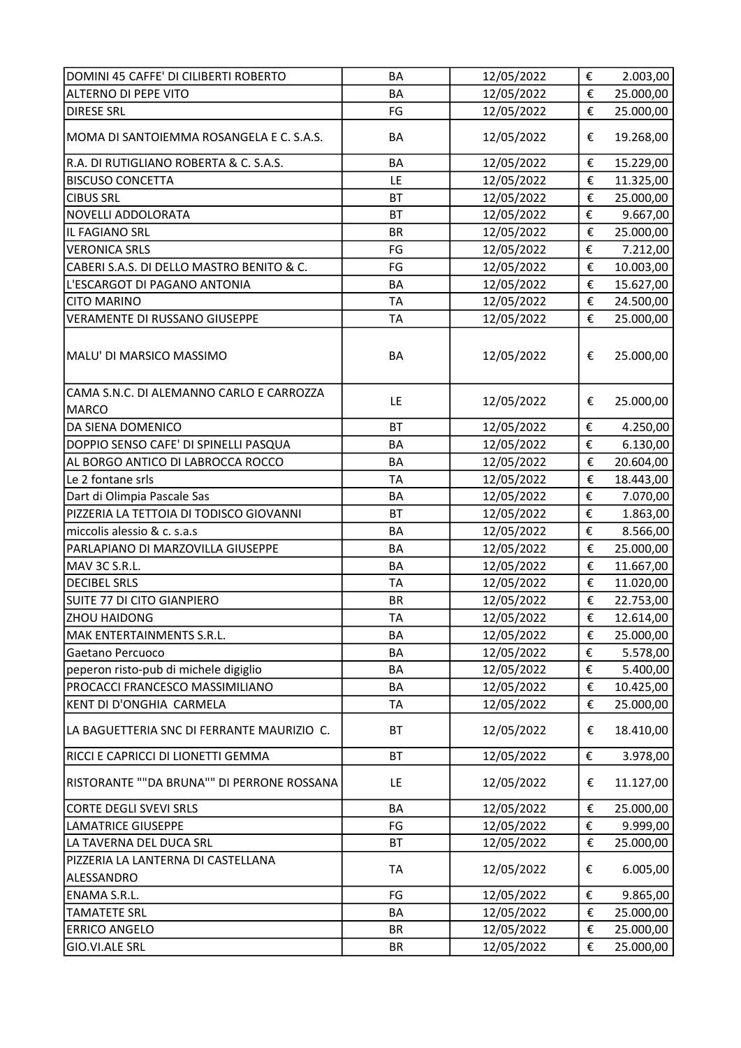| DOMINI 45 CAFFE' DI CILIBERTI ROBERTO             | BA        | 12/05/2022 | €                       | 2.003,00  |
|---------------------------------------------------|-----------|------------|-------------------------|-----------|
| ALTERNO DI PEPE VITO                              | <b>BA</b> | 12/05/2022 | €                       | 25.000,00 |
| <b>DIRESE SRL</b>                                 | FG        | 12/05/2022 | €                       | 25.000,00 |
| MOMA DI SANTOIEMMA ROSANGELA E C. S.A.S.          | <b>BA</b> | 12/05/2022 | €                       | 19.268,00 |
| R.A. DI RUTIGLIANO ROBERTA & C. S.A.S.            | <b>BA</b> | 12/05/2022 | €                       | 15.229,00 |
| <b>BISCUSO CONCETTA</b>                           | LE        | 12/05/2022 | €                       | 11.325,00 |
| <b>CIBUS SRL</b>                                  | <b>BT</b> | 12/05/2022 | €                       | 25.000,00 |
| NOVELLI ADDOLORATA                                | <b>BT</b> | 12/05/2022 | €                       | 9.667,00  |
| IL FAGIANO SRL                                    | <b>BR</b> | 12/05/2022 | €                       | 25.000,00 |
| <b>VERONICA SRLS</b>                              | FG        | 12/05/2022 | €                       | 7.212,00  |
| CABERI S.A.S. DI DELLO MASTRO BENITO & C.         | FG        | 12/05/2022 | €                       | 10.003,00 |
| L'ESCARGOT DI PAGANO ANTONIA                      | <b>BA</b> | 12/05/2022 | €                       | 15.627,00 |
| <b>CITO MARINO</b>                                | <b>TA</b> | 12/05/2022 | €                       | 24.500,00 |
| VERAMENTE DI RUSSANO GIUSEPPE                     | <b>TA</b> | 12/05/2022 | €                       | 25.000,00 |
| MALU' DI MARSICO MASSIMO                          | BA        | 12/05/2022 | €                       | 25.000,00 |
| CAMA S.N.C. DI ALEMANNO CARLO E CARROZZA<br>MARCO | LE        | 12/05/2022 | €                       | 25.000,00 |
| DA SIENA DOMENICO                                 | <b>BT</b> | 12/05/2022 | €                       | 4.250,00  |
| DOPPIO SENSO CAFE' DI SPINELLI PASQUA             | <b>BA</b> | 12/05/2022 | €                       | 6.130,00  |
| AL BORGO ANTICO DI LABROCCA ROCCO                 | <b>BA</b> | 12/05/2022 | €                       | 20.604,00 |
| Le 2 fontane srls                                 | <b>TA</b> | 12/05/2022 | €                       | 18.443,00 |
| Dart di Olimpia Pascale Sas                       | <b>BA</b> | 12/05/2022 | €                       | 7.070,00  |
| PIZZERIA LA TETTOIA DI TODISCO GIOVANNI           | <b>BT</b> | 12/05/2022 | €                       | 1.863,00  |
| miccolis alessio & c. s.a.s                       | <b>BA</b> | 12/05/2022 | €                       | 8.566,00  |
| PARLAPIANO DI MARZOVILLA GIUSEPPE                 | <b>BA</b> | 12/05/2022 | €                       | 25.000,00 |
| MAV 3C S.R.L.                                     | <b>BA</b> | 12/05/2022 | €                       | 11.667,00 |
| <b>DECIBEL SRLS</b>                               | <b>TA</b> | 12/05/2022 | €                       | 11.020,00 |
| SUITE 77 DI CITO GIANPIERO                        | <b>BR</b> | 12/05/2022 | €                       | 22.753,00 |
| <b>ZHOU HAIDONG</b>                               | <b>TA</b> | 12/05/2022 | €                       | 12.614,00 |
| MAK ENTERTAINMENTS S.R.L.                         | BA        | 12/05/2022 | €                       | 25.000,00 |
| Gaetano Percuoco                                  | BA        | 12/05/2022 | €                       | 5.578,00  |
| peperon risto-pub di michele digiglio             | BA        | 12/05/2022 | €                       | 5.400,00  |
| PROCACCI FRANCESCO MASSIMILIANO                   | BA        | 12/05/2022 | $\boldsymbol{\epsilon}$ | 10.425,00 |
| KENT DI D'ONGHIA CARMELA                          | <b>TA</b> | 12/05/2022 | €                       | 25.000,00 |
| LA BAGUETTERIA SNC DI FERRANTE MAURIZIO C.        | <b>BT</b> | 12/05/2022 | €                       | 18.410,00 |
| RICCI E CAPRICCI DI LIONETTI GEMMA                | <b>BT</b> | 12/05/2022 | €                       | 3.978,00  |
| RISTORANTE ""DA BRUNA"" DI PERRONE ROSSANA        | LE        | 12/05/2022 | €                       | 11.127,00 |
| <b>CORTE DEGLI SVEVI SRLS</b>                     | <b>BA</b> | 12/05/2022 | €                       | 25.000,00 |
| <b>LAMATRICE GIUSEPPE</b>                         | FG        | 12/05/2022 | €                       | 9.999,00  |
| LA TAVERNA DEL DUCA SRL                           | <b>BT</b> | 12/05/2022 | €                       | 25.000,00 |
| PIZZERIA LA LANTERNA DI CASTELLANA                |           |            |                         |           |
| ALESSANDRO                                        | <b>TA</b> | 12/05/2022 | €                       | 6.005,00  |
| <b>ENAMA S.R.L.</b>                               | FG        | 12/05/2022 | €                       | 9.865,00  |
| <b>TAMATETE SRL</b>                               | BA        | 12/05/2022 | €                       | 25.000,00 |
| <b>ERRICO ANGELO</b>                              | <b>BR</b> | 12/05/2022 | €                       | 25.000,00 |
| GIO.VI.ALE SRL                                    | BR        | 12/05/2022 | €                       | 25.000,00 |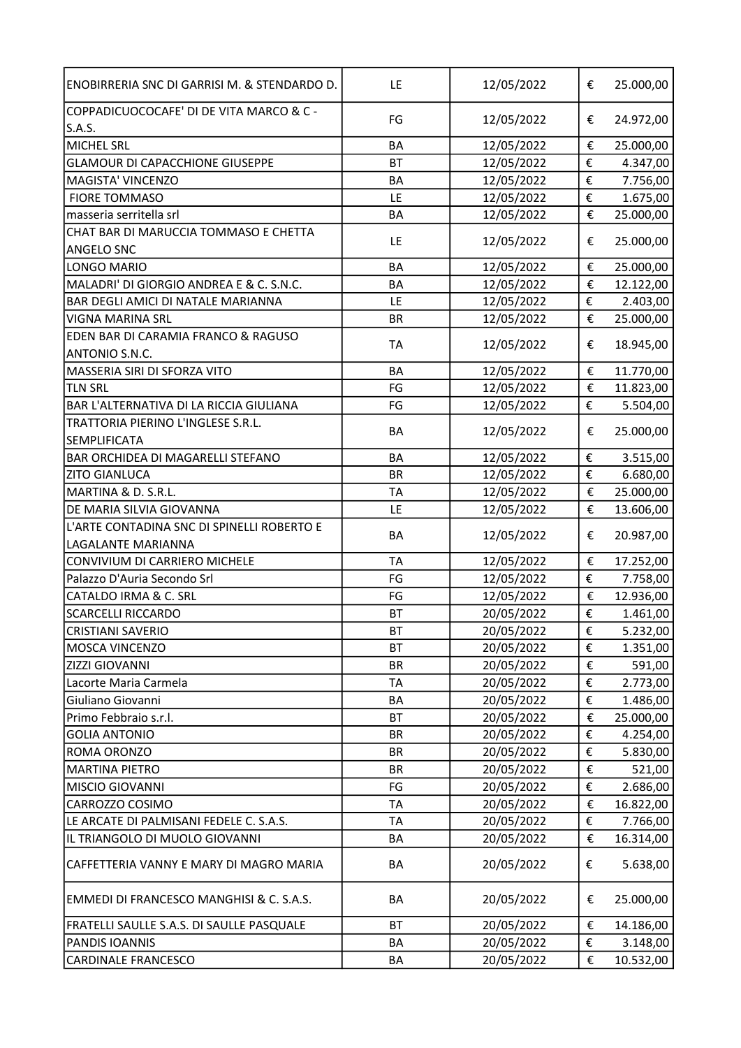| ENOBIRRERIA SNC DI GARRISI M. & STENDARDO D.              | LE        | 12/05/2022 | € | 25.000,00 |
|-----------------------------------------------------------|-----------|------------|---|-----------|
| COPPADICUOCOCAFE' DI DE VITA MARCO & C -<br>S.A.S.        | FG        | 12/05/2022 | € | 24.972,00 |
| <b>MICHEL SRL</b>                                         | <b>BA</b> | 12/05/2022 | € | 25.000,00 |
| <b>GLAMOUR DI CAPACCHIONE GIUSEPPE</b>                    | <b>BT</b> | 12/05/2022 | € | 4.347,00  |
| MAGISTA' VINCENZO                                         | BA        | 12/05/2022 | € | 7.756,00  |
| <b>FIORE TOMMASO</b>                                      | LE        | 12/05/2022 | € | 1.675,00  |
| masseria serritella srl                                   | BA        | 12/05/2022 | € | 25.000,00 |
| CHAT BAR DI MARUCCIA TOMMASO E CHETTA                     |           |            |   |           |
| <b>ANGELO SNC</b>                                         | LE        | 12/05/2022 | € | 25.000,00 |
| LONGO MARIO                                               | <b>BA</b> | 12/05/2022 | € | 25.000,00 |
| MALADRI' DI GIORGIO ANDREA E & C. S.N.C.                  | <b>BA</b> | 12/05/2022 | € | 12.122,00 |
| BAR DEGLI AMICI DI NATALE MARIANNA                        | LE        | 12/05/2022 | € | 2.403,00  |
| <b>VIGNA MARINA SRL</b>                                   | <b>BR</b> | 12/05/2022 | € | 25.000,00 |
| EDEN BAR DI CARAMIA FRANCO & RAGUSO<br>ANTONIO S.N.C.     | <b>TA</b> | 12/05/2022 | € | 18.945,00 |
| MASSERIA SIRI DI SFORZA VITO                              | <b>BA</b> | 12/05/2022 | € | 11.770,00 |
| <b>TLN SRL</b>                                            | FG        | 12/05/2022 | € | 11.823,00 |
| BAR L'ALTERNATIVA DI LA RICCIA GIULIANA                   | FG        | 12/05/2022 | € | 5.504,00  |
| TRATTORIA PIERINO L'INGLESE S.R.L.<br><b>SEMPLIFICATA</b> | BA        | 12/05/2022 | € | 25.000,00 |
| BAR ORCHIDEA DI MAGARELLI STEFANO                         | <b>BA</b> | 12/05/2022 | € | 3.515,00  |
| <b>ZITO GIANLUCA</b>                                      | <b>BR</b> | 12/05/2022 | € | 6.680,00  |
| MARTINA & D. S.R.L.                                       | <b>TA</b> | 12/05/2022 | € | 25.000,00 |
| DE MARIA SILVIA GIOVANNA                                  | LE        | 12/05/2022 | € | 13.606,00 |
| L'ARTE CONTADINA SNC DI SPINELLI ROBERTO E                |           |            |   |           |
| LAGALANTE MARIANNA                                        | BA        | 12/05/2022 | € | 20.987,00 |
| CONVIVIUM DI CARRIERO MICHELE                             | <b>TA</b> | 12/05/2022 | € | 17.252,00 |
| Palazzo D'Auria Secondo Srl                               | FG        | 12/05/2022 | € | 7.758,00  |
| CATALDO IRMA & C. SRL                                     | FG        | 12/05/2022 | € | 12.936,00 |
| <b>SCARCELLI RICCARDO</b>                                 | <b>BT</b> | 20/05/2022 | € | 1.461,00  |
| <b>CRISTIANI SAVERIO</b>                                  | <b>BT</b> | 20/05/2022 | € | 5.232,00  |
| MOSCA VINCENZO                                            | <b>BT</b> | 20/05/2022 | € | 1.351,00  |
| <b>ZIZZI GIOVANNI</b>                                     | <b>BR</b> | 20/05/2022 | € | 591,00    |
| Lacorte Maria Carmela                                     | TA        | 20/05/2022 | € | 2.773,00  |
| Giuliano Giovanni                                         | BA        | 20/05/2022 | € | 1.486,00  |
| Primo Febbraio s.r.l.                                     | <b>BT</b> | 20/05/2022 | € | 25.000,00 |
| <b>GOLIA ANTONIO</b>                                      | <b>BR</b> | 20/05/2022 | € | 4.254,00  |
| ROMA ORONZO                                               | <b>BR</b> | 20/05/2022 | € | 5.830,00  |
| <b>MARTINA PIETRO</b>                                     | <b>BR</b> | 20/05/2022 | € | 521,00    |
| <b>MISCIO GIOVANNI</b>                                    | FG        | 20/05/2022 | € | 2.686,00  |
| CARROZZO COSIMO                                           | <b>TA</b> | 20/05/2022 | € | 16.822,00 |
| LE ARCATE DI PALMISANI FEDELE C. S.A.S.                   | TA        | 20/05/2022 | € | 7.766,00  |
| IL TRIANGOLO DI MUOLO GIOVANNI                            | BA        | 20/05/2022 | € | 16.314,00 |
| CAFFETTERIA VANNY E MARY DI MAGRO MARIA                   | BA        | 20/05/2022 | € | 5.638,00  |
| <b>EMMEDI DI FRANCESCO MANGHISI &amp; C. S.A.S.</b>       | BA        | 20/05/2022 | € | 25.000,00 |
| FRATELLI SAULLE S.A.S. DI SAULLE PASQUALE                 | <b>BT</b> | 20/05/2022 | € | 14.186,00 |
| PANDIS IOANNIS                                            | BA        | 20/05/2022 | € | 3.148,00  |
| <b>CARDINALE FRANCESCO</b>                                | BA        | 20/05/2022 | € | 10.532,00 |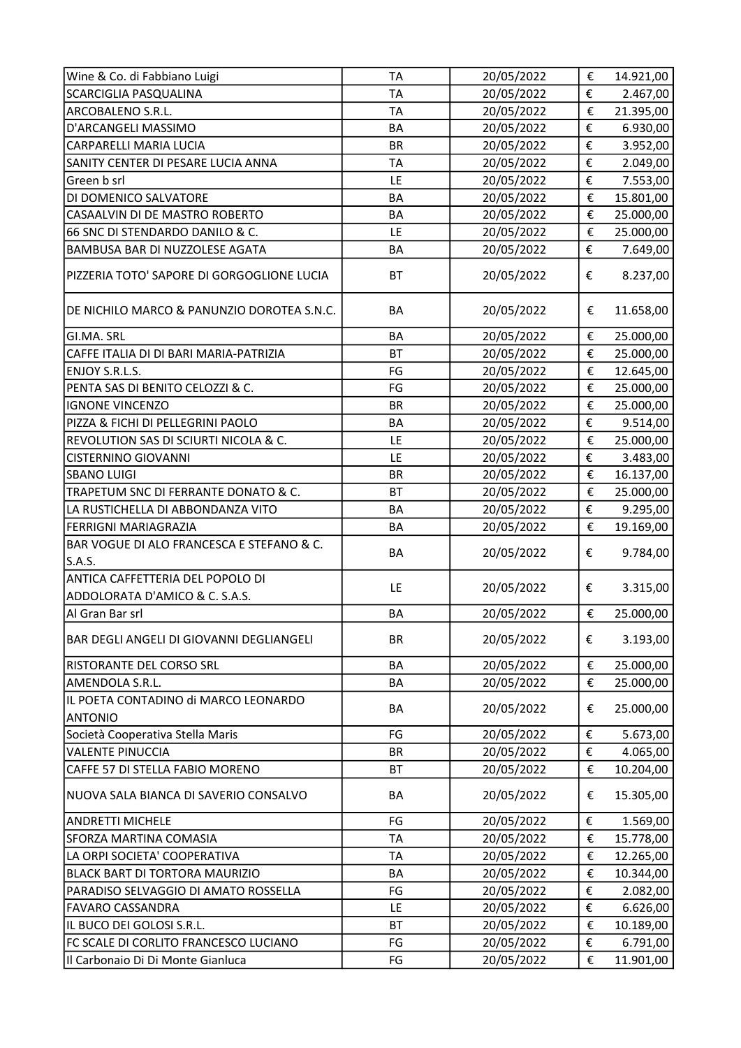| Wine & Co. di Fabbiano Luigi                           | <b>TA</b> | 20/05/2022 | $\boldsymbol{\epsilon}$ | 14.921,00 |
|--------------------------------------------------------|-----------|------------|-------------------------|-----------|
| <b>SCARCIGLIA PASQUALINA</b>                           | <b>TA</b> | 20/05/2022 | €                       | 2.467,00  |
| ARCOBALENO S.R.L.                                      | <b>TA</b> | 20/05/2022 | €                       | 21.395,00 |
| D'ARCANGELI MASSIMO                                    | BA        | 20/05/2022 | €                       | 6.930,00  |
| CARPARELLI MARIA LUCIA                                 | <b>BR</b> | 20/05/2022 | €                       | 3.952,00  |
| SANITY CENTER DI PESARE LUCIA ANNA                     | <b>TA</b> | 20/05/2022 | €                       | 2.049,00  |
| Green b srl                                            | LE        | 20/05/2022 | €                       | 7.553,00  |
| DI DOMENICO SALVATORE                                  | <b>BA</b> | 20/05/2022 | €                       | 15.801,00 |
| CASAALVIN DI DE MASTRO ROBERTO                         | <b>BA</b> | 20/05/2022 | €                       | 25.000,00 |
| 66 SNC DI STENDARDO DANILO & C.                        | LE        | 20/05/2022 | €                       | 25.000,00 |
| BAMBUSA BAR DI NUZZOLESE AGATA                         | BA        | 20/05/2022 | €                       | 7.649,00  |
| PIZZERIA TOTO' SAPORE DI GORGOGLIONE LUCIA             | <b>BT</b> | 20/05/2022 | €                       | 8.237,00  |
| DE NICHILO MARCO & PANUNZIO DOROTEA S.N.C.             | BA        | 20/05/2022 | €                       | 11.658,00 |
| GI.MA. SRL                                             | BA        | 20/05/2022 | €                       | 25.000,00 |
| CAFFE ITALIA DI DI BARI MARIA-PATRIZIA                 | <b>BT</b> | 20/05/2022 | €                       | 25.000,00 |
| ENJOY S.R.L.S.                                         | FG        | 20/05/2022 | €                       | 12.645,00 |
| PENTA SAS DI BENITO CELOZZI & C.                       | FG        | 20/05/2022 | €                       | 25.000,00 |
| <b>IGNONE VINCENZO</b>                                 | <b>BR</b> | 20/05/2022 | €                       | 25.000,00 |
| PIZZA & FICHI DI PELLEGRINI PAOLO                      | BA        | 20/05/2022 | €                       | 9.514,00  |
| REVOLUTION SAS DI SCIURTI NICOLA & C.                  | LE        | 20/05/2022 | €                       | 25.000,00 |
| <b>CISTERNINO GIOVANNI</b>                             | LE        | 20/05/2022 | €                       | 3.483,00  |
| <b>SBANO LUIGI</b>                                     | <b>BR</b> | 20/05/2022 | €                       | 16.137,00 |
| TRAPETUM SNC DI FERRANTE DONATO & C.                   | <b>BT</b> | 20/05/2022 | €                       | 25.000,00 |
| LA RUSTICHELLA DI ABBONDANZA VITO                      | BA        | 20/05/2022 | €                       | 9.295,00  |
|                                                        |           |            |                         |           |
| FERRIGNI MARIAGRAZIA                                   | BA        | 20/05/2022 | €                       | 19.169,00 |
| BAR VOGUE DI ALO FRANCESCA E STEFANO & C.<br>S.A.S.    | BA        | 20/05/2022 | €                       | 9.784,00  |
| ANTICA CAFFETTERIA DEL POPOLO DI                       |           |            |                         |           |
| ADDOLORATA D'AMICO & C. S.A.S.                         | LE        | 20/05/2022 | €                       | 3.315,00  |
| Al Gran Bar srl                                        | BA        | 20/05/2022 | €                       | 25.000,00 |
| BAR DEGLI ANGELI DI GIOVANNI DEGLIANGELI               | <b>BR</b> | 20/05/2022 | €                       | 3.193,00  |
| RISTORANTE DEL CORSO SRL                               | BA        | 20/05/2022 | €                       | 25.000,00 |
| AMENDOLA S.R.L.                                        | BA        | 20/05/2022 | €                       | 25.000,00 |
| IL POETA CONTADINO di MARCO LEONARDO<br><b>ANTONIO</b> | BA        | 20/05/2022 | €                       | 25.000,00 |
| Società Cooperativa Stella Maris                       | FG        | 20/05/2022 | €                       | 5.673,00  |
| <b>VALENTE PINUCCIA</b>                                | <b>BR</b> | 20/05/2022 | €                       | 4.065,00  |
| CAFFE 57 DI STELLA FABIO MORENO                        | BT        | 20/05/2022 | €                       | 10.204,00 |
| NUOVA SALA BIANCA DI SAVERIO CONSALVO                  | BA        | 20/05/2022 | €                       | 15.305,00 |
| <b>ANDRETTI MICHELE</b>                                | FG        | 20/05/2022 | €                       | 1.569,00  |
| <b>SFORZA MARTINA COMASIA</b>                          | <b>TA</b> | 20/05/2022 | €                       | 15.778,00 |
| LA ORPI SOCIETA' COOPERATIVA                           | TA        | 20/05/2022 | €                       | 12.265,00 |
| BLACK BART DI TORTORA MAURIZIO                         | BA        | 20/05/2022 | €                       | 10.344,00 |
| PARADISO SELVAGGIO DI AMATO ROSSELLA                   | FG        | 20/05/2022 | €                       | 2.082,00  |
| <b>FAVARO CASSANDRA</b>                                | LE        | 20/05/2022 | €                       | 6.626,00  |
| IL BUCO DEI GOLOSI S.R.L.                              | BT        | 20/05/2022 | €                       | 10.189,00 |
| FC SCALE DI CORLITO FRANCESCO LUCIANO                  | FG        | 20/05/2022 | €                       | 6.791,00  |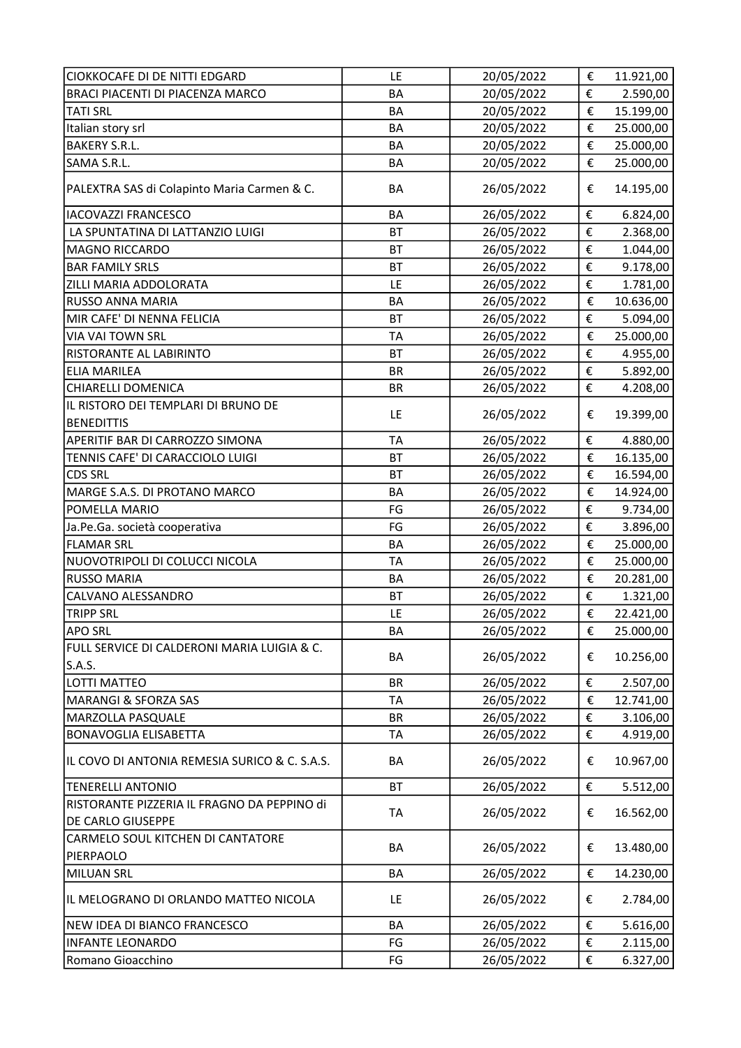| CIOKKOCAFE DI DE NITTI EDGARD                            | LE        | 20/05/2022 | €                       | 11.921,00             |
|----------------------------------------------------------|-----------|------------|-------------------------|-----------------------|
| BRACI PIACENTI DI PIACENZA MARCO                         | <b>BA</b> | 20/05/2022 | €                       | 2.590,00              |
| <b>TATI SRL</b>                                          | <b>BA</b> | 20/05/2022 | $\boldsymbol{\epsilon}$ | 15.199,00             |
| Italian story srl                                        | BA        | 20/05/2022 | €                       | 25.000,00             |
| <b>BAKERY S.R.L.</b>                                     | <b>BA</b> | 20/05/2022 | €                       | 25.000,00             |
| SAMA S.R.L.                                              | <b>BA</b> | 20/05/2022 | €                       | 25.000,00             |
| PALEXTRA SAS di Colapinto Maria Carmen & C.              | BA        | 26/05/2022 | €                       | 14.195,00             |
| <b>IACOVAZZI FRANCESCO</b>                               | <b>BA</b> | 26/05/2022 | €                       | 6.824,00              |
| LA SPUNTATINA DI LATTANZIO LUIGI                         | <b>BT</b> | 26/05/2022 | €                       | 2.368,00              |
| MAGNO RICCARDO                                           | <b>BT</b> | 26/05/2022 | €                       | 1.044,00              |
| <b>BAR FAMILY SRLS</b>                                   | <b>BT</b> | 26/05/2022 | €                       | 9.178,00              |
| ZILLI MARIA ADDOLORATA                                   | LE        | 26/05/2022 | €                       | 1.781,00              |
| <b>RUSSO ANNA MARIA</b>                                  | <b>BA</b> | 26/05/2022 | €                       | 10.636,00             |
| MIR CAFE' DI NENNA FELICIA                               | <b>BT</b> | 26/05/2022 | €                       | 5.094,00              |
| VIA VAI TOWN SRL                                         | <b>TA</b> | 26/05/2022 | €                       | 25.000,00             |
| <b>RISTORANTE AL LABIRINTO</b>                           | <b>BT</b> | 26/05/2022 | €                       | 4.955,00              |
| <b>ELIA MARILEA</b>                                      | <b>BR</b> | 26/05/2022 | €                       | 5.892,00              |
| <b>CHIARELLI DOMENICA</b>                                | <b>BR</b> | 26/05/2022 | €                       | 4.208,00              |
| IL RISTORO DEI TEMPLARI DI BRUNO DE<br><b>BENEDITTIS</b> | LE        | 26/05/2022 | €                       | 19.399,00             |
| APERITIF BAR DI CARROZZO SIMONA                          | <b>TA</b> | 26/05/2022 | €                       | 4.880,00              |
| TENNIS CAFE' DI CARACCIOLO LUIGI                         | <b>BT</b> | 26/05/2022 | €                       | 16.135,00             |
| <b>CDS SRL</b>                                           | <b>BT</b> | 26/05/2022 | €                       | 16.594,00             |
| MARGE S.A.S. DI PROTANO MARCO                            | <b>BA</b> | 26/05/2022 | €                       | 14.924,00             |
| POMELLA MARIO                                            | FG        | 26/05/2022 | €                       | 9.734,00              |
| Ja.Pe.Ga. società cooperativa                            | FG        | 26/05/2022 | €                       | 3.896,00              |
| <b>FLAMAR SRL</b>                                        | <b>BA</b> | 26/05/2022 | €                       | 25.000,00             |
| NUOVOTRIPOLI DI COLUCCI NICOLA                           | <b>TA</b> | 26/05/2022 | €                       | 25.000,00             |
| <b>RUSSO MARIA</b>                                       | BA        | 26/05/2022 | €                       | 20.281,00             |
| CALVANO ALESSANDRO                                       | <b>BT</b> | 26/05/2022 | €                       |                       |
| <b>TRIPP SRL</b>                                         | LE        | 26/05/2022 | €                       | 1.321,00<br>22.421,00 |
| <b>APO SRL</b>                                           | BA        | 26/05/2022 | €                       | 25.000,00             |
| FULL SERVICE DI CALDERONI MARIA LUIGIA & C.              |           |            |                         |                       |
| S.A.S.                                                   | BA        | 26/05/2022 | €                       | 10.256,00             |
| LOTTI MATTEO                                             | <b>BR</b> | 26/05/2022 | €                       | 2.507,00              |
| MARANGI & SFORZA SAS                                     | TA        | 26/05/2022 | €                       | 12.741,00             |
| <b>MARZOLLA PASQUALE</b>                                 | <b>BR</b> | 26/05/2022 | €                       | 3.106,00              |
| <b>BONAVOGLIA ELISABETTA</b>                             | <b>TA</b> | 26/05/2022 | €                       | 4.919,00              |
| IL COVO DI ANTONIA REMESIA SURICO & C. S.A.S.            | BA        | 26/05/2022 | €                       | 10.967,00             |
| <b>TENERELLI ANTONIO</b>                                 | <b>BT</b> | 26/05/2022 | €                       | 5.512,00              |
| RISTORANTE PIZZERIA IL FRAGNO DA PEPPINO di              |           |            |                         |                       |
| DE CARLO GIUSEPPE                                        | TA        | 26/05/2022 | €                       | 16.562,00             |
| CARMELO SOUL KITCHEN DI CANTATORE<br>PIERPAOLO           | BA        | 26/05/2022 | €                       | 13.480,00             |
| <b>MILUAN SRL</b>                                        | BA        | 26/05/2022 | €                       | 14.230,00             |
| IL MELOGRANO DI ORLANDO MATTEO NICOLA                    | LE        | 26/05/2022 | €                       | 2.784,00              |
|                                                          |           |            |                         |                       |
| NEW IDEA DI BIANCO FRANCESCO                             | BA        | 26/05/2022 | €                       | 5.616,00              |
| <b>INFANTE LEONARDO</b>                                  | FG        | 26/05/2022 | €                       | 2.115,00              |
| Romano Gioacchino                                        | FG        | 26/05/2022 | €                       | 6.327,00              |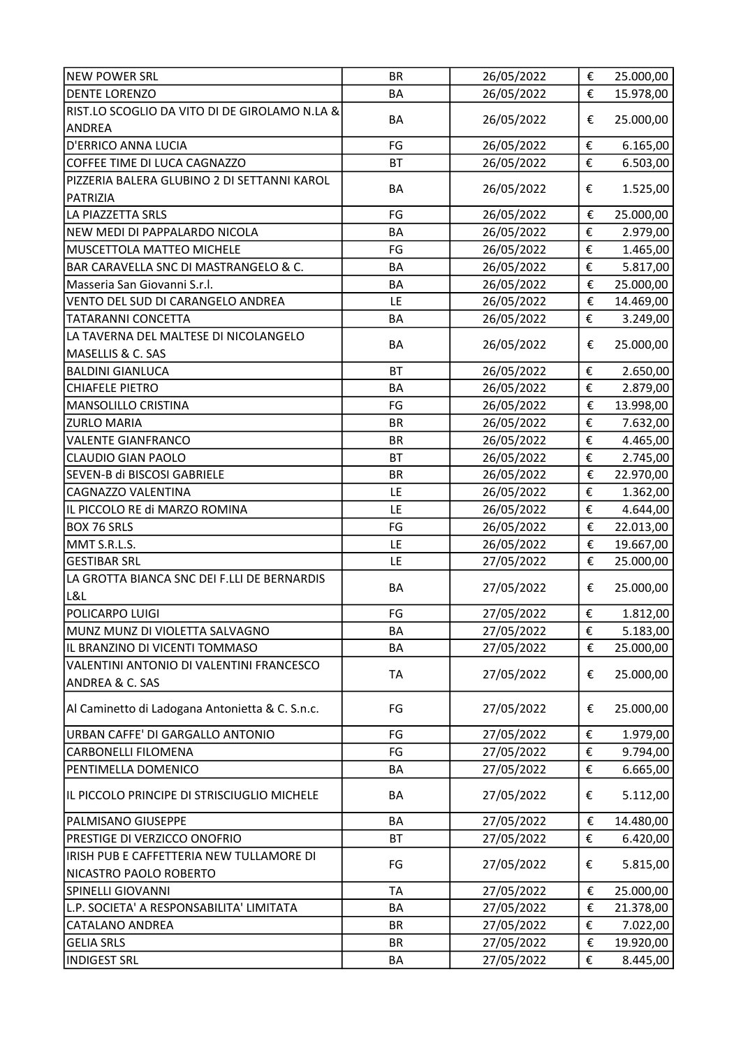| <b>NEW POWER SRL</b>                                                   | <b>BR</b> | 26/05/2022 | $\boldsymbol{\epsilon}$ | 25.000,00 |
|------------------------------------------------------------------------|-----------|------------|-------------------------|-----------|
| <b>DENTE LORENZO</b>                                                   | BA        | 26/05/2022 | €                       | 15.978,00 |
| RIST.LO SCOGLIO DA VITO DI DE GIROLAMO N.LA &<br>ANDREA                | BA        | 26/05/2022 | €                       | 25.000,00 |
| D'ERRICO ANNA LUCIA                                                    | FG        | 26/05/2022 | €                       | 6.165,00  |
| COFFEE TIME DI LUCA CAGNAZZO                                           | <b>BT</b> | 26/05/2022 | €                       | 6.503,00  |
| PIZZERIA BALERA GLUBINO 2 DI SETTANNI KAROL                            |           |            |                         |           |
| PATRIZIA                                                               | <b>BA</b> | 26/05/2022 | €                       | 1.525,00  |
| LA PIAZZETTA SRLS                                                      | FG        | 26/05/2022 | €                       | 25.000,00 |
| NEW MEDI DI PAPPALARDO NICOLA                                          | BA        | 26/05/2022 | €                       | 2.979,00  |
| MUSCETTOLA MATTEO MICHELE                                              | FG        | 26/05/2022 | €                       | 1.465,00  |
| BAR CARAVELLA SNC DI MASTRANGELO & C.                                  | <b>BA</b> | 26/05/2022 | €                       | 5.817,00  |
| Masseria San Giovanni S.r.l.                                           | BA        | 26/05/2022 | €                       | 25.000,00 |
| VENTO DEL SUD DI CARANGELO ANDREA                                      | LE        | 26/05/2022 | €                       | 14.469,00 |
| <b>TATARANNI CONCETTA</b>                                              | BA        | 26/05/2022 | €                       | 3.249,00  |
| LA TAVERNA DEL MALTESE DI NICOLANGELO<br>MASELLIS & C. SAS             | BA        | 26/05/2022 | €                       | 25.000,00 |
| <b>BALDINI GIANLUCA</b>                                                | <b>BT</b> | 26/05/2022 | €                       | 2.650,00  |
| <b>CHIAFELE PIETRO</b>                                                 | BA        | 26/05/2022 | €                       | 2.879,00  |
| MANSOLILLO CRISTINA                                                    | FG        | 26/05/2022 | €                       | 13.998,00 |
| <b>ZURLO MARIA</b>                                                     | <b>BR</b> | 26/05/2022 | €                       | 7.632,00  |
| <b>VALENTE GIANFRANCO</b>                                              | <b>BR</b> | 26/05/2022 | €                       | 4.465,00  |
| <b>CLAUDIO GIAN PAOLO</b>                                              | <b>BT</b> | 26/05/2022 | €                       | 2.745,00  |
| SEVEN-B di BISCOSI GABRIELE                                            | <b>BR</b> | 26/05/2022 | €                       | 22.970,00 |
| CAGNAZZO VALENTINA                                                     | LE        | 26/05/2022 | €                       | 1.362,00  |
| IL PICCOLO RE di MARZO ROMINA                                          | LE        | 26/05/2022 | €                       | 4.644,00  |
| <b>BOX 76 SRLS</b>                                                     | FG        | 26/05/2022 | €                       | 22.013,00 |
| MMT S.R.L.S.                                                           | LE        | 26/05/2022 | €                       | 19.667,00 |
| <b>GESTIBAR SRL</b>                                                    | LE        | 27/05/2022 | €                       | 25.000,00 |
| LA GROTTA BIANCA SNC DEI F.LLI DE BERNARDIS                            | BA        | 27/05/2022 | €                       | 25.000,00 |
| 181                                                                    |           |            |                         |           |
| POLICARPO LUIGI                                                        | FG        | 27/05/2022 | €                       | 1.812,00  |
| MUNZ MUNZ DI VIOLETTA SALVAGNO                                         | BA        | 27/05/2022 | €                       | 5.183,00  |
| IL BRANZINO DI VICENTI TOMMASO                                         | <b>BA</b> | 27/05/2022 | €                       | 25.000,00 |
| VALENTINI ANTONIO DI VALENTINI FRANCESCO<br><b>ANDREA &amp; C. SAS</b> | <b>TA</b> | 27/05/2022 | €                       | 25.000,00 |
| Al Caminetto di Ladogana Antonietta & C. S.n.c.                        | FG        | 27/05/2022 | €                       | 25.000,00 |
| URBAN CAFFE' DI GARGALLO ANTONIO                                       | FG        | 27/05/2022 | €                       | 1.979,00  |
| <b>CARBONELLI FILOMENA</b>                                             | FG        | 27/05/2022 | €                       | 9.794,00  |
| PENTIMELLA DOMENICO                                                    | BA        | 27/05/2022 | €                       | 6.665,00  |
| IL PICCOLO PRINCIPE DI STRISCIUGLIO MICHELE                            | BA        | 27/05/2022 | €                       | 5.112,00  |
| PALMISANO GIUSEPPE                                                     | BA        | 27/05/2022 | €                       | 14.480,00 |
| PRESTIGE DI VERZICCO ONOFRIO                                           | <b>BT</b> | 27/05/2022 | €                       | 6.420,00  |
| IRISH PUB E CAFFETTERIA NEW TULLAMORE DI                               |           |            |                         |           |
| NICASTRO PAOLO ROBERTO                                                 | FG        | 27/05/2022 | €                       | 5.815,00  |
| <b>SPINELLI GIOVANNI</b>                                               | <b>TA</b> | 27/05/2022 | €                       | 25.000,00 |
| L.P. SOCIETA' A RESPONSABILITA' LIMITATA                               | BA        | 27/05/2022 | €                       | 21.378,00 |
| <b>CATALANO ANDREA</b>                                                 | <b>BR</b> | 27/05/2022 | €                       | 7.022,00  |
| <b>GELIA SRLS</b>                                                      | <b>BR</b> | 27/05/2022 | €                       | 19.920,00 |
| <b>INDIGEST SRL</b>                                                    | BA        | 27/05/2022 | €                       | 8.445,00  |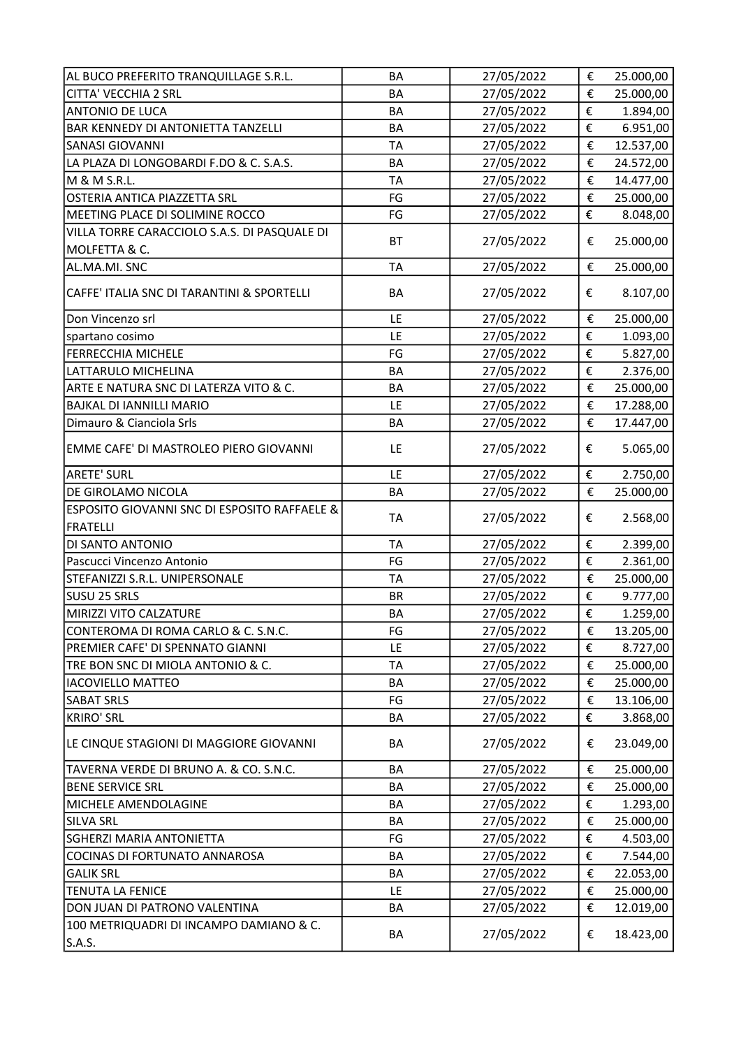| AL BUCO PREFERITO TRANQUILLAGE S.R.L.                                      | BA        | 27/05/2022 | € | 25.000,00            |
|----------------------------------------------------------------------------|-----------|------------|---|----------------------|
| <b>CITTA' VECCHIA 2 SRL</b>                                                | BA        | 27/05/2022 | € | 25.000,00            |
| ANTONIO DE LUCA                                                            | BA        | 27/05/2022 | € | 1.894,00             |
| <b>BAR KENNEDY DI ANTONIETTA TANZELLI</b>                                  | BA        | 27/05/2022 | € | 6.951,00             |
| <b>SANASI GIOVANNI</b>                                                     | <b>TA</b> | 27/05/2022 | € | 12.537,00            |
| LA PLAZA DI LONGOBARDI F.DO & C. S.A.S.                                    | <b>BA</b> | 27/05/2022 | € | 24.572,00            |
| M & M S.R.L.                                                               | <b>TA</b> | 27/05/2022 | € | 14.477,00            |
| OSTERIA ANTICA PIAZZETTA SRL                                               | FG        | 27/05/2022 | € | 25.000,00            |
| MEETING PLACE DI SOLIMINE ROCCO                                            | FG        | 27/05/2022 | € | 8.048,00             |
| VILLA TORRE CARACCIOLO S.A.S. DI PASQUALE DI                               |           |            |   |                      |
| MOLFETTA & C.                                                              | <b>BT</b> | 27/05/2022 | € | 25.000,00            |
| AL.MA.MI. SNC                                                              | <b>TA</b> | 27/05/2022 | € | 25.000,00            |
| CAFFE' ITALIA SNC DI TARANTINI & SPORTELLI                                 | BA        | 27/05/2022 | € | 8.107,00             |
| Don Vincenzo srl                                                           | LE        | 27/05/2022 | € | 25.000,00            |
| spartano cosimo                                                            | LE        | 27/05/2022 | € | 1.093,00             |
| <b>FERRECCHIA MICHELE</b>                                                  | FG        | 27/05/2022 | € | 5.827,00             |
| LATTARULO MICHELINA                                                        | BA        | 27/05/2022 | € | 2.376,00             |
| ARTE E NATURA SNC DI LATERZA VITO & C.                                     | BA        | 27/05/2022 | € | 25.000,00            |
| <b>BAJKAL DI IANNILLI MARIO</b>                                            | LE        | 27/05/2022 | € | 17.288,00            |
| Dimauro & Cianciola Srls                                                   | BA        | 27/05/2022 | € | 17.447,00            |
| EMME CAFE' DI MASTROLEO PIERO GIOVANNI                                     | LE        | 27/05/2022 | € | 5.065,00             |
| <b>ARETE' SURL</b>                                                         | LE        | 27/05/2022 | € | 2.750,00             |
| DE GIROLAMO NICOLA                                                         | BA        | 27/05/2022 | € | 25.000,00            |
| <b>ESPOSITO GIOVANNI SNC DI ESPOSITO RAFFAELE &amp;</b><br><b>FRATELLI</b> | <b>TA</b> | 27/05/2022 | € | 2.568,00             |
| DI SANTO ANTONIO                                                           | <b>TA</b> | 27/05/2022 | € | 2.399,00             |
| Pascucci Vincenzo Antonio                                                  | FG        | 27/05/2022 | € | 2.361,00             |
| STEFANIZZI S.R.L. UNIPERSONALE                                             | <b>TA</b> | 27/05/2022 | € | 25.000,00            |
| SUSU 25 SRLS                                                               | <b>BR</b> | 27/05/2022 | € |                      |
| MIRIZZI VITO CALZATURE                                                     | BA        | 27/05/2022 | € | 9.777,00<br>1.259,00 |
| CONTEROMA DI ROMA CARLO & C. S.N.C.                                        | FG        | 27/05/2022 | € | 13.205,00            |
| PREMIER CAFE' DI SPENNATO GIANNI                                           | LE        | 27/05/2022 | € |                      |
|                                                                            |           |            |   | 8.727,00             |
| TRE BON SNC DI MIOLA ANTONIO & C.                                          | TA        | 27/05/2022 | € | 25.000,00            |
| <b>IACOVIELLO MATTEO</b>                                                   | BA        | 27/05/2022 | € | 25.000,00            |
| <b>SABAT SRLS</b>                                                          | FG        | 27/05/2022 | € | 13.106,00            |
| <b>KRIRO' SRL</b>                                                          | BA        | 27/05/2022 | € | 3.868,00             |
| LE CINQUE STAGIONI DI MAGGIORE GIOVANNI                                    | BA        | 27/05/2022 | € | 23.049,00            |
| TAVERNA VERDE DI BRUNO A. & CO. S.N.C.                                     | BA        | 27/05/2022 | € | 25.000,00            |
| <b>BENE SERVICE SRL</b>                                                    | BA        | 27/05/2022 | € | 25.000,00            |
| MICHELE AMENDOLAGINE                                                       | BA        | 27/05/2022 | € | 1.293,00             |
| <b>SILVA SRL</b>                                                           | BA        | 27/05/2022 | € | 25.000,00            |
| <b>SGHERZI MARIA ANTONIETTA</b>                                            | FG        | 27/05/2022 | € | 4.503,00             |
| COCINAS DI FORTUNATO ANNAROSA                                              | BA        | 27/05/2022 | € | 7.544,00             |
| <b>GALIK SRL</b>                                                           | BA        | 27/05/2022 | € | 22.053,00            |
| <b>TENUTA LA FENICE</b>                                                    | LE        | 27/05/2022 | € | 25.000,00            |
| DON JUAN DI PATRONO VALENTINA                                              | BA        | 27/05/2022 | € | 12.019,00            |
| 100 METRIQUADRI DI INCAMPO DAMIANO & C.<br>S.A.S.                          | ВA        | 27/05/2022 | € | 18.423,00            |
|                                                                            |           |            |   |                      |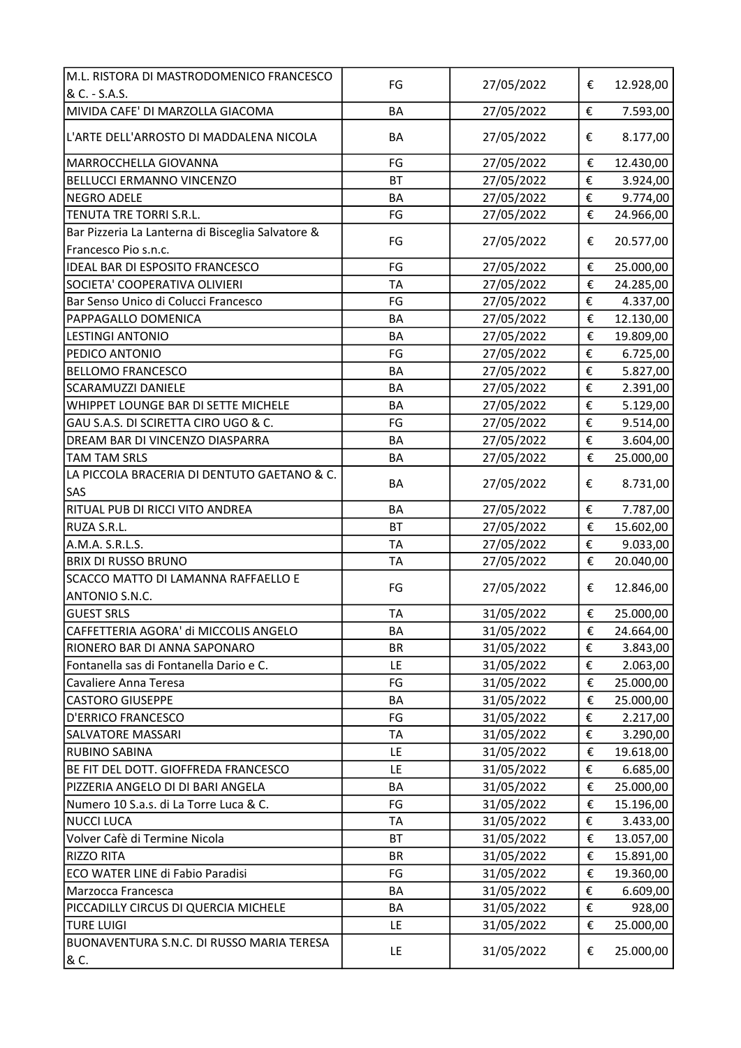| M.L. RISTORA DI MASTRODOMENICO FRANCESCO                                  | FG        | 27/05/2022 | €                       | 12.928,00 |
|---------------------------------------------------------------------------|-----------|------------|-------------------------|-----------|
| & C. - S.A.S.                                                             |           |            |                         |           |
| MIVIDA CAFE' DI MARZOLLA GIACOMA                                          | BA        | 27/05/2022 | €                       | 7.593,00  |
| L'ARTE DELL'ARROSTO DI MADDALENA NICOLA                                   | BA        | 27/05/2022 | €                       | 8.177,00  |
| MARROCCHELLA GIOVANNA                                                     | FG        | 27/05/2022 | €                       | 12.430,00 |
| BELLUCCI ERMANNO VINCENZO                                                 | <b>BT</b> | 27/05/2022 | €                       | 3.924,00  |
| <b>NEGRO ADELE</b>                                                        | BA        | 27/05/2022 | €                       | 9.774,00  |
| TENUTA TRE TORRI S.R.L.                                                   | FG        | 27/05/2022 | $\boldsymbol{\epsilon}$ | 24.966,00 |
| Bar Pizzeria La Lanterna di Bisceglia Salvatore &<br>Francesco Pio s.n.c. | FG        | 27/05/2022 | €                       | 20.577,00 |
| IDEAL BAR DI ESPOSITO FRANCESCO                                           | FG        | 27/05/2022 | €                       | 25.000,00 |
| SOCIETA' COOPERATIVA OLIVIERI                                             | <b>TA</b> | 27/05/2022 | €                       | 24.285,00 |
|                                                                           |           |            |                         |           |
| Bar Senso Unico di Colucci Francesco                                      | FG        | 27/05/2022 | €                       | 4.337,00  |
| PAPPAGALLO DOMENICA                                                       | BA        | 27/05/2022 | €                       | 12.130,00 |
| <b>LESTINGI ANTONIO</b>                                                   | BA        | 27/05/2022 | €                       | 19.809,00 |
| PEDICO ANTONIO                                                            | FG        | 27/05/2022 | €                       | 6.725,00  |
| <b>BELLOMO FRANCESCO</b>                                                  | BA        | 27/05/2022 | €                       | 5.827,00  |
| <b>SCARAMUZZI DANIELE</b>                                                 | BA        | 27/05/2022 | €                       | 2.391,00  |
| WHIPPET LOUNGE BAR DI SETTE MICHELE                                       | BA        | 27/05/2022 | €                       | 5.129,00  |
| GAU S.A.S. DI SCIRETTA CIRO UGO & C.                                      | FG        | 27/05/2022 | €                       | 9.514,00  |
| DREAM BAR DI VINCENZO DIASPARRA                                           | BA        | 27/05/2022 | €                       | 3.604,00  |
| <b>TAM TAM SRLS</b>                                                       | BA        | 27/05/2022 | €                       | 25.000,00 |
| LA PICCOLA BRACERIA DI DENTUTO GAETANO & C.<br>SAS                        | BA        | 27/05/2022 | €                       | 8.731,00  |
| RITUAL PUB DI RICCI VITO ANDREA                                           | BA        | 27/05/2022 | €                       | 7.787,00  |
| RUZA S.R.L.                                                               | <b>BT</b> | 27/05/2022 | €                       | 15.602,00 |
| A.M.A. S.R.L.S.                                                           | <b>TA</b> | 27/05/2022 | €                       | 9.033,00  |
| <b>BRIX DI RUSSO BRUNO</b>                                                | <b>TA</b> | 27/05/2022 | €                       | 20.040,00 |
| SCACCO MATTO DI LAMANNA RAFFAELLO E                                       |           |            |                         |           |
| ANTONIO S.N.C.                                                            | FG        | 27/05/2022 | €                       | 12.846,00 |
| <b>GUEST SRLS</b>                                                         | <b>TA</b> | 31/05/2022 | €                       | 25.000,00 |
| CAFFETTERIA AGORA' di MICCOLIS ANGELO                                     | BA        | 31/05/2022 | €                       | 24.664,00 |
| RIONERO BAR DI ANNA SAPONARO                                              | <b>BR</b> | 31/05/2022 | €                       | 3.843,00  |
| Fontanella sas di Fontanella Dario e C.                                   | LE        | 31/05/2022 | €                       | 2.063,00  |
| Cavaliere Anna Teresa                                                     | FG        | 31/05/2022 | €                       | 25.000,00 |
| <b>CASTORO GIUSEPPE</b>                                                   | BA        | 31/05/2022 | €                       | 25.000,00 |
| <b>D'ERRICO FRANCESCO</b>                                                 | FG        | 31/05/2022 | €                       | 2.217,00  |
| <b>SALVATORE MASSARI</b>                                                  | TA        | 31/05/2022 | €                       | 3.290,00  |
| <b>RUBINO SABINA</b>                                                      | LE        | 31/05/2022 | €                       | 19.618,00 |
| BE FIT DEL DOTT. GIOFFREDA FRANCESCO                                      | LE        | 31/05/2022 | €                       | 6.685,00  |
| PIZZERIA ANGELO DI DI BARI ANGELA                                         | BA        | 31/05/2022 | €                       | 25.000,00 |
| Numero 10 S.a.s. di La Torre Luca & C.                                    | FG        | 31/05/2022 | €                       | 15.196,00 |
| <b>NUCCI LUCA</b>                                                         | TA        | 31/05/2022 | €                       | 3.433,00  |
| Volver Cafè di Termine Nicola                                             | <b>BT</b> | 31/05/2022 | €                       | 13.057,00 |
| <b>RIZZO RITA</b>                                                         | BR        | 31/05/2022 | €                       | 15.891,00 |
| ECO WATER LINE di Fabio Paradisi                                          | FG        | 31/05/2022 | €                       | 19.360,00 |
| Marzocca Francesca                                                        | BA        | 31/05/2022 | €                       | 6.609,00  |
| PICCADILLY CIRCUS DI QUERCIA MICHELE                                      | BA        | 31/05/2022 | €                       | 928,00    |
| <b>TURE LUIGI</b>                                                         | LE        | 31/05/2022 | €                       | 25.000,00 |
| BUONAVENTURA S.N.C. DI RUSSO MARIA TERESA                                 |           |            |                         |           |
| & C.                                                                      | LE        | 31/05/2022 | €                       | 25.000,00 |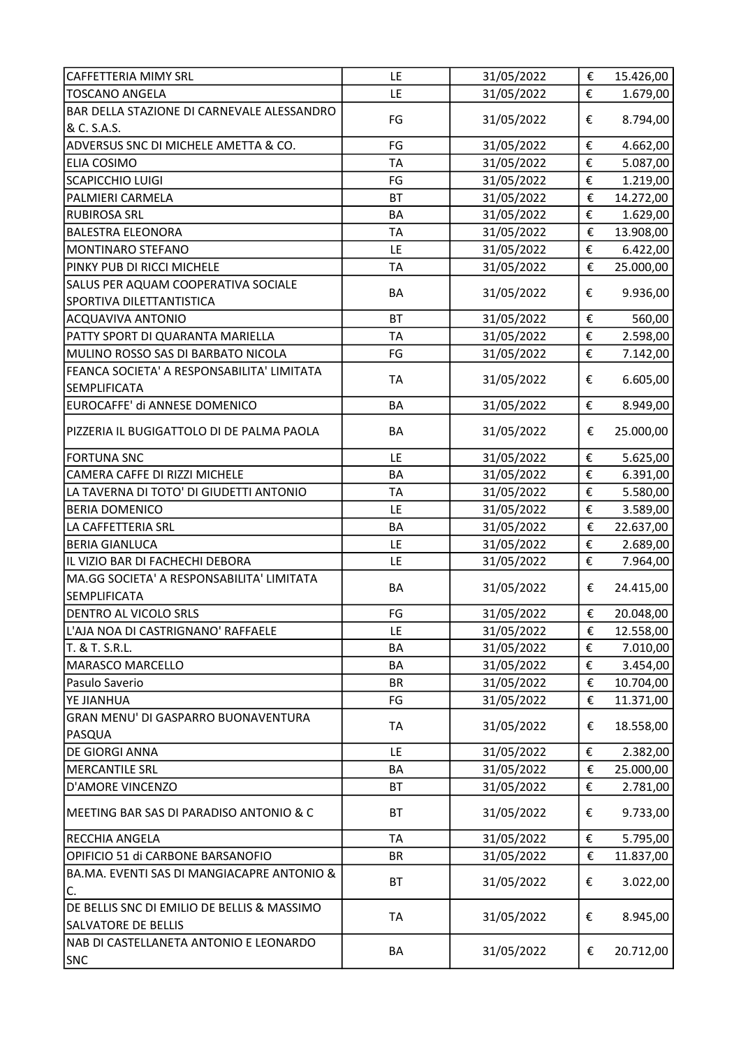| <b>CAFFETTERIA MIMY SRL</b>                      | LE        | 31/05/2022 | €                       | 15.426,00 |
|--------------------------------------------------|-----------|------------|-------------------------|-----------|
| <b>TOSCANO ANGELA</b>                            | LE        | 31/05/2022 | €                       | 1.679,00  |
| BAR DELLA STAZIONE DI CARNEVALE ALESSANDRO       |           |            |                         |           |
| & C. S.A.S.                                      | FG        | 31/05/2022 | €                       | 8.794,00  |
| ADVERSUS SNC DI MICHELE AMETTA & CO.             | FG        | 31/05/2022 | €                       | 4.662,00  |
| <b>ELIA COSIMO</b>                               | <b>TA</b> | 31/05/2022 | €                       | 5.087,00  |
| <b>SCAPICCHIO LUIGI</b>                          | FG        | 31/05/2022 | €                       | 1.219,00  |
| PALMIERI CARMELA                                 | <b>BT</b> | 31/05/2022 | €                       | 14.272,00 |
| <b>RUBIROSA SRL</b>                              | BA        | 31/05/2022 | €                       | 1.629,00  |
| <b>BALESTRA ELEONORA</b>                         | <b>TA</b> | 31/05/2022 | €                       | 13.908,00 |
| MONTINARO STEFANO                                | LE        | 31/05/2022 | €                       | 6.422,00  |
| PINKY PUB DI RICCI MICHELE                       | <b>TA</b> | 31/05/2022 | €                       | 25.000,00 |
| SALUS PER AQUAM COOPERATIVA SOCIALE              |           |            |                         |           |
| SPORTIVA DILETTANTISTICA                         | BA        | 31/05/2022 | €                       | 9.936,00  |
| <b>ACQUAVIVA ANTONIO</b>                         | <b>BT</b> | 31/05/2022 | €                       | 560,00    |
| PATTY SPORT DI QUARANTA MARIELLA                 | <b>TA</b> | 31/05/2022 | $\boldsymbol{\epsilon}$ | 2.598,00  |
| MULINO ROSSO SAS DI BARBATO NICOLA               | FG        | 31/05/2022 | €                       | 7.142,00  |
| FEANCA SOCIETA' A RESPONSABILITA' LIMITATA       |           |            |                         |           |
| <b>SEMPLIFICATA</b>                              | <b>TA</b> | 31/05/2022 | €                       | 6.605,00  |
| EUROCAFFE' di ANNESE DOMENICO                    | <b>BA</b> | 31/05/2022 | €                       | 8.949,00  |
|                                                  |           |            |                         |           |
| PIZZERIA IL BUGIGATTOLO DI DE PALMA PAOLA        | BA        | 31/05/2022 | €                       | 25.000,00 |
| <b>FORTUNA SNC</b>                               | LE        | 31/05/2022 | €                       | 5.625,00  |
| CAMERA CAFFE DI RIZZI MICHELE                    | BA        | 31/05/2022 | €                       | 6.391,00  |
| LA TAVERNA DI TOTO' DI GIUDETTI ANTONIO          | <b>TA</b> | 31/05/2022 | $\pmb{\epsilon}$        | 5.580,00  |
| <b>BERIA DOMENICO</b>                            | LE        | 31/05/2022 | €                       | 3.589,00  |
| LA CAFFETTERIA SRL                               | BA        | 31/05/2022 | $\boldsymbol{\epsilon}$ | 22.637,00 |
| <b>BERIA GIANLUCA</b>                            | LE        | 31/05/2022 | €                       | 2.689,00  |
| IL VIZIO BAR DI FACHECHI DEBORA                  | LE        | 31/05/2022 | €                       | 7.964,00  |
| MA.GG SOCIETA' A RESPONSABILITA' LIMITATA        |           |            |                         |           |
| <b>SEMPLIFICATA</b>                              | BA        | 31/05/2022 | €                       | 24.415,00 |
| DENTRO AL VICOLO SRLS                            | FG        | 31/05/2022 | €                       | 20.048,00 |
| L'AJA NOA DI CASTRIGNANO' RAFFAELE               | LE        | 31/05/2022 | €                       | 12.558,00 |
| T. & T. S.R.L.                                   | BA        | 31/05/2022 | €                       | 7.010,00  |
| MARASCO MARCELLO                                 | BA        | 31/05/2022 | €                       | 3.454,00  |
| Pasulo Saverio                                   | <b>BR</b> | 31/05/2022 | €                       | 10.704,00 |
| YE JIANHUA                                       | FG        | 31/05/2022 | €                       | 11.371,00 |
| GRAN MENU' DI GASPARRO BUONAVENTURA              |           |            |                         |           |
| <b>PASQUA</b>                                    | TA        | 31/05/2022 | €                       | 18.558,00 |
| DE GIORGI ANNA                                   | LE        | 31/05/2022 | €                       | 2.382,00  |
| <b>MERCANTILE SRL</b>                            | BA        | 31/05/2022 | €                       | 25.000,00 |
| <b>D'AMORE VINCENZO</b>                          | BT        | 31/05/2022 | €                       | 2.781,00  |
| MEETING BAR SAS DI PARADISO ANTONIO & C          | ВT        | 31/05/2022 | €                       | 9.733,00  |
|                                                  |           |            |                         |           |
| <b>RECCHIA ANGELA</b>                            | <b>TA</b> | 31/05/2022 | €                       | 5.795,00  |
| OPIFICIO 51 di CARBONE BARSANOFIO                | <b>BR</b> | 31/05/2022 | €                       | 11.837,00 |
| BA.MA. EVENTI SAS DI MANGIACAPRE ANTONIO &<br>C. | BT        | 31/05/2022 | €                       | 3.022,00  |
| DE BELLIS SNC DI EMILIO DE BELLIS & MASSIMO      |           |            |                         |           |
| <b>SALVATORE DE BELLIS</b>                       | <b>TA</b> | 31/05/2022 | €                       | 8.945,00  |
| NAB DI CASTELLANETA ANTONIO E LEONARDO           |           |            |                         |           |
| <b>SNC</b>                                       | BA        | 31/05/2022 | €                       | 20.712,00 |
|                                                  |           |            |                         |           |